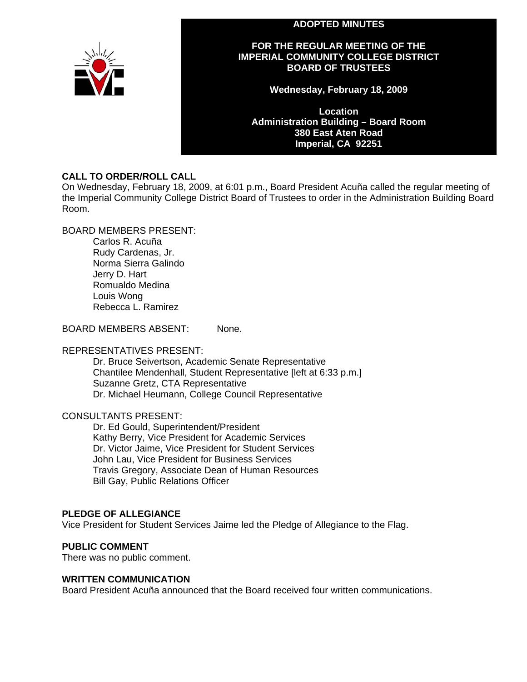#### **ADOPTED MINUTES**



#### **FOR THE REGULAR MEETING OF THE IMPERIAL COMMUNITY COLLEGE DISTRICT BOARD OF TRUSTEES**

**Wednesday, February 18, 2009** 

**Location Administration Building – Board Room 380 East Aten Road Imperial, CA 92251** 

## **CALL TO ORDER/ROLL CALL**

On Wednesday, February 18, 2009, at 6:01 p.m., Board President Acuña called the regular meeting of the Imperial Community College District Board of Trustees to order in the Administration Building Board Room.

BOARD MEMBERS PRESENT:

Carlos R. Acuña Rudy Cardenas, Jr. Norma Sierra Galindo Jerry D. Hart Romualdo Medina Louis Wong Rebecca L. Ramirez

BOARD MEMBERS ABSENT: None.

### REPRESENTATIVES PRESENT:

Dr. Bruce Seivertson, Academic Senate Representative Chantilee Mendenhall, Student Representative [left at 6:33 p.m.] Suzanne Gretz, CTA Representative Dr. Michael Heumann, College Council Representative

### CONSULTANTS PRESENT:

Dr. Ed Gould, Superintendent/President Kathy Berry, Vice President for Academic Services Dr. Victor Jaime, Vice President for Student Services John Lau, Vice President for Business Services Travis Gregory, Associate Dean of Human Resources Bill Gay, Public Relations Officer

### **PLEDGE OF ALLEGIANCE**

Vice President for Student Services Jaime led the Pledge of Allegiance to the Flag.

### **PUBLIC COMMENT**

There was no public comment.

#### **WRITTEN COMMUNICATION**

Board President Acuña announced that the Board received four written communications.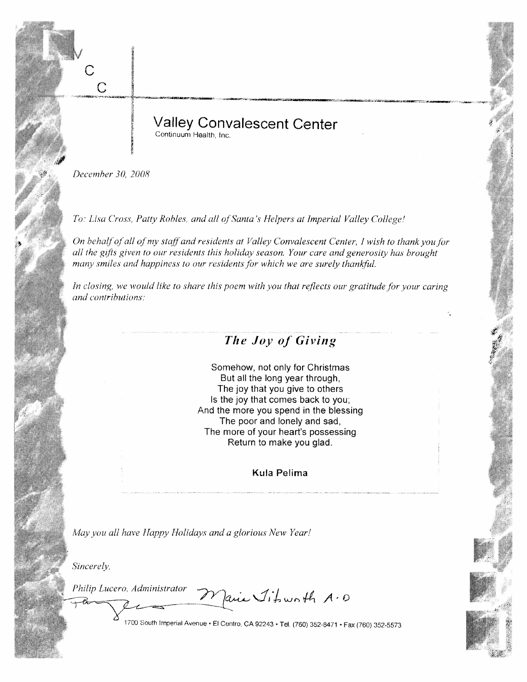**Valley Convalescent Center** Continuum Health, Inc.

December 30, 2008

 $\overline{C}$ 

To: Lisa Cross, Patty Robles, and all of Santa's Helpers at Imperial Valley College!

On behalf of all of my staff and residents at Valley Convalescent Center, I wish to thank you for all the gifts given to our residents this holiday season. Your care and generosity has brought many smiles and happiness to our residents for which we are surely thankful.

In closing, we would like to share this poem with you that reflects our gratitude for your caring and contributions:

## The Joy of Giving

Somehow, not only for Christmas But all the long year through, The joy that you give to others Is the joy that comes back to you; And the more you spend in the blessing The poor and lonely and sad, The more of your heart's possessing Return to make you glad.

Kula Pelima

May you all have Happy Holidays and a glorious New Year!

Sincerely,

Philip Lucero, Administrator

air Jitourth A.D

1700 South Imperial Avenue • El Centro, CA 92243 • Tel. (760) 352-8471 • Fax (760) 352-5573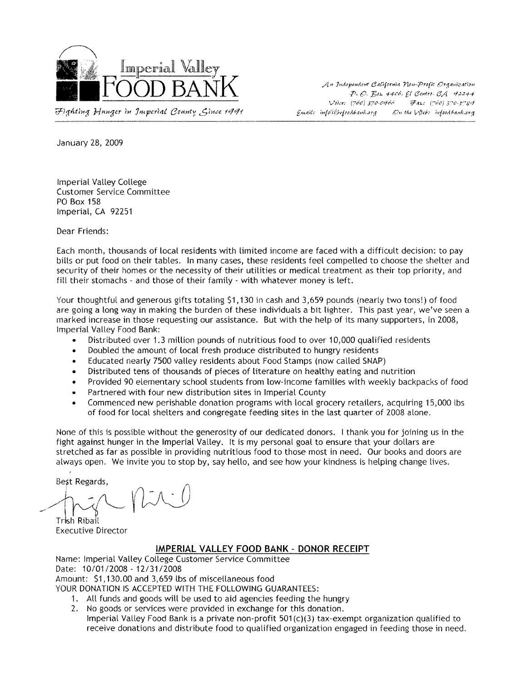

Fighting Hunger in Juperial County, Gince 1991

An Independent California Non-Profit Organization  $P. O.$  Box 4400,  $C$  Centro,  $CA$  42244 Voice: (760) 370-0966 Fax: (760) 570-5789  $Gundic$  info(ii) $isfoodbank.org$  On the  $b$ 2eb: infoodbank.org

January 28, 2009

**Imperial Valley College Customer Service Committee PO Box 158** Imperial, CA 92251

Dear Friends:

Each month, thousands of local residents with limited income are faced with a difficult decision: to pay bills or put food on their tables. In many cases, these residents feel compelled to choose the shelter and security of their homes or the necessity of their utilities or medical treatment as their top priority, and fill their stomachs - and those of their family - with whatever money is left.

Your thoughtful and generous gifts totaling \$1,130 in cash and 3,659 pounds (nearly two tons!) of food are going a long way in making the burden of these individuals a bit lighter. This past year, we've seen a marked increase in those requesting our assistance. But with the help of its many supporters, in 2008, Imperial Valley Food Bank:

- Distributed over 1.3 million pounds of nutritious food to over 10,000 qualified residents
- Doubled the amount of local fresh produce distributed to hungry residents  $\bullet$
- Educated nearly 7500 valley residents about Food Stamps (now called SNAP)  $\bullet$
- Distributed tens of thousands of pieces of literature on healthy eating and nutrition
- Provided 90 elementary school students from low-income families with weekly backpacks of food
- Partnered with four new distribution sites in Imperial County
- Commenced new perishable donation programs with local grocery retailers, acquiring 15,000 lbs of food for local shelters and congregate feeding sites in the last quarter of 2008 alone.

None of this is possible without the generosity of our dedicated donors. I thank you for joining us in the fight against hunger in the Imperial Valley. It is my personal goal to ensure that your dollars are stretched as far as possible in providing nutritious food to those most in need. Our books and doors are always open. We invite you to stop by, say hello, and see how your kindness is helping change lives.

Best Regards.

Trish Ribail **Executive Director** 

#### IMPERIAL VALLEY FOOD BANK - DONOR RECEIPT

Name: Imperial Valley College Customer Service Committee Date: 10/01/2008 - 12/31/2008 Amount: \$1,130.00 and 3,659 lbs of miscellaneous food

YOUR DONATION IS ACCEPTED WITH THE FOLLOWING GUARANTEES:

- 1. All funds and goods will be used to aid agencies feeding the hungry
- 2. No goods or services were provided in exchange for this donation. Imperial Valley Food Bank is a private non-profit 501(c)(3) tax-exempt organization qualified to

receive donations and distribute food to qualified organization engaged in feeding those in need.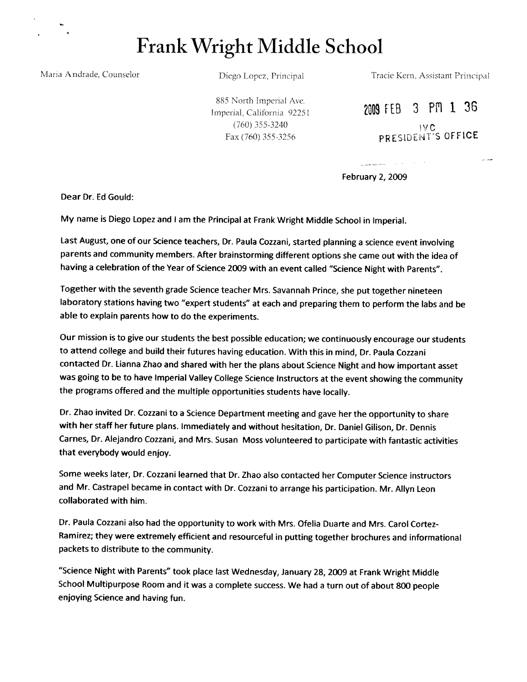Frank Wright Middle School

Maria Andrade, Counselor

Diego Lopez, Principal

Tracie Kern, Assistant Principal

885 North Imperial Ave. Imperial, California 92251  $(760)$  355-3240 Fax (760) 355-3256

2009 FEB 3 PM 1 36 IVC<br>PRESIDENT'S OFFICE

state of the control

February 2, 2009

Dear Dr. Ed Gould:

My name is Diego Lopez and I am the Principal at Frank Wright Middle School in Imperial.

Last August, one of our Science teachers, Dr. Paula Cozzani, started planning a science event involving parents and community members. After brainstorming different options she came out with the idea of having a celebration of the Year of Science 2009 with an event called "Science Night with Parents".

Together with the seventh grade Science teacher Mrs. Savannah Prince, she put together nineteen laboratory stations having two "expert students" at each and preparing them to perform the labs and be able to explain parents how to do the experiments.

Our mission is to give our students the best possible education; we continuously encourage our students to attend college and build their futures having education. With this in mind, Dr. Paula Cozzani contacted Dr. Lianna Zhao and shared with her the plans about Science Night and how important asset was going to be to have Imperial Valley College Science Instructors at the event showing the community the programs offered and the multiple opportunities students have locally.

Dr. Zhao invited Dr. Cozzani to a Science Department meeting and gave her the opportunity to share with her staff her future plans. Immediately and without hesitation, Dr. Daniel Gilison, Dr. Dennis Carnes, Dr. Alejandro Cozzani, and Mrs. Susan Moss volunteered to participate with fantastic activities that everybody would enjoy.

Some weeks later, Dr. Cozzani learned that Dr. Zhao also contacted her Computer Science instructors and Mr. Castrapel became in contact with Dr. Cozzani to arrange his participation. Mr. Allyn Leon collaborated with him.

Dr. Paula Cozzani also had the opportunity to work with Mrs. Ofelia Duarte and Mrs. Carol Cortez-Ramirez; they were extremely efficient and resourceful in putting together brochures and informational packets to distribute to the community.

"Science Night with Parents" took place last Wednesday, January 28, 2009 at Frank Wright Middle School Multipurpose Room and it was a complete success. We had a turn out of about 800 people enjoying Science and having fun.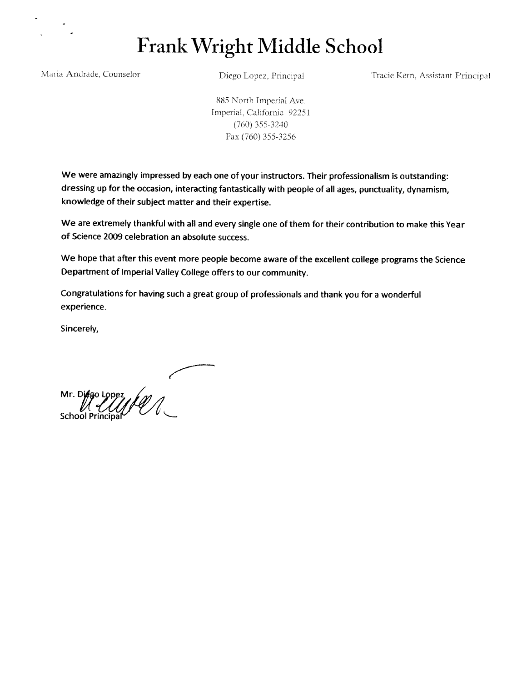## Frank Wright Middle School

Maria Andrade, Counselor

Diego Lopez, Principal

Tracie Kern, Assistant Principal

885 North Imperial Ave. Imperial, California 92251  $(760)$  355-3240 Fax (760) 355-3256

We were amazingly impressed by each one of your instructors. Their professionalism is outstanding: dressing up for the occasion, interacting fantastically with people of all ages, punctuality, dynamism, knowledge of their subject matter and their expertise.

We are extremely thankful with all and every single one of them for their contribution to make this Year of Science 2009 celebration an absolute success.

We hope that after this event more people become aware of the excellent college programs the Science Department of Imperial Valley College offers to our community.

Congratulations for having such a great group of professionals and thank you for a wonderful experience.

Sincerely,

Mr. Diego Lopez  $\mathcal{U}(\mathcal{U})$ School Principa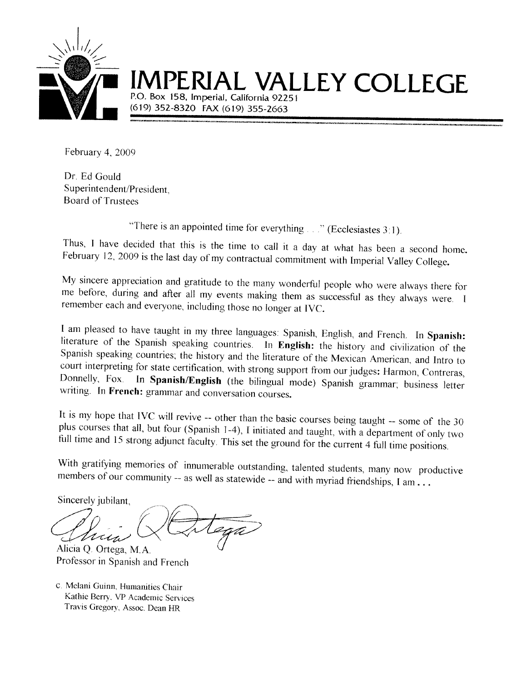

# RIAL VALLEY COLLEGE

P.O. Box 158, Imperial, California 92251 (619) 352-8320 FAX (619) 355-2663

February 4, 2009

Dr. Ed Gould Superintendent/President, **Board of Trustees** 

"There is an appointed time for everything  $\ldots$ " (Ecclesiastes 3:1).

Thus, I have decided that this is the time to call it a day at what has been a second home. February 12, 2009 is the last day of my contractual commitment with Imperial Valley College.

My sincere appreciation and gratitude to the many wonderful people who were always there for me before, during and after all my events making them as successful as they always were. I remember each and everyone, including those no longer at IVC.

I am pleased to have taught in my three languages: Spanish, English, and French. In Spanish: literature of the Spanish speaking countries. In English: the history and civilization of the Spanish speaking countries, the history and the literature of the Mexican American, and Intro to court interpreting for state certification, with strong support from our judges: Harmon, Contreras, Donnelly, Fox. In Spanish/English (the bilingual mode) Spanish grammar; business letter writing. In French: grammar and conversation courses.

It is my hope that IVC will revive -- other than the basic courses being taught -- some of the 30 plus courses that all, but four (Spanish 1-4), I initiated and taught, with a department of only two full time and 15 strong adjunct faculty. This set the ground for the current 4 full time positions.

With gratifying memories of innumerable outstanding, talented students, many now productive members of our community -- as well as statewide -- and with myriad friendships, I am ...

Sincerely jubilant.

Alicia Q. Ortega, M.A. Professor in Spanish and French

c. Melani Guinn, Humanities Chair Kathie Berry, VP Academic Services Travis Gregory, Assoc. Dean HR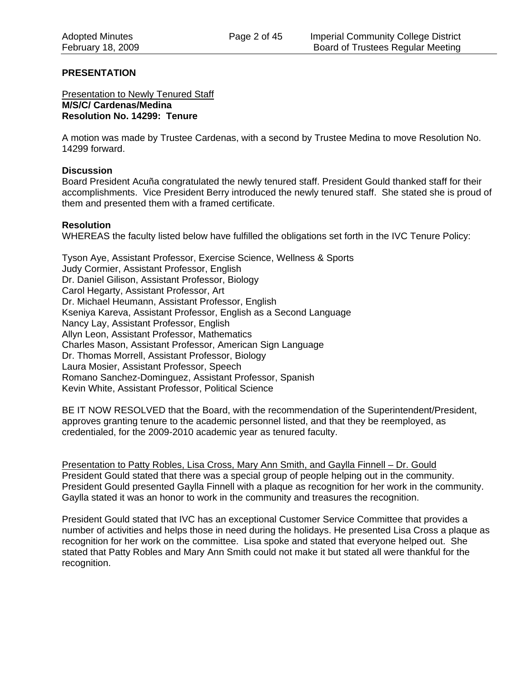#### **PRESENTATION**

**Presentation to Newly Tenured Staff M/S/C/ Cardenas/Medina Resolution No. 14299: Tenure** 

A motion was made by Trustee Cardenas, with a second by Trustee Medina to move Resolution No. 14299 forward.

#### **Discussion**

Board President Acuña congratulated the newly tenured staff. President Gould thanked staff for their accomplishments. Vice President Berry introduced the newly tenured staff. She stated she is proud of them and presented them with a framed certificate.

#### **Resolution**

WHEREAS the faculty listed below have fulfilled the obligations set forth in the IVC Tenure Policy:

Tyson Aye, Assistant Professor, Exercise Science, Wellness & Sports Judy Cormier, Assistant Professor, English Dr. Daniel Gilison, Assistant Professor, Biology Carol Hegarty, Assistant Professor, Art Dr. Michael Heumann, Assistant Professor, English Kseniya Kareva, Assistant Professor, English as a Second Language Nancy Lay, Assistant Professor, English Allyn Leon, Assistant Professor, Mathematics Charles Mason, Assistant Professor, American Sign Language Dr. Thomas Morrell, Assistant Professor, Biology Laura Mosier, Assistant Professor, Speech Romano Sanchez-Dominguez, Assistant Professor, Spanish Kevin White, Assistant Professor, Political Science

BE IT NOW RESOLVED that the Board, with the recommendation of the Superintendent/President, approves granting tenure to the academic personnel listed, and that they be reemployed, as credentialed, for the 2009-2010 academic year as tenured faculty.

Presentation to Patty Robles, Lisa Cross, Mary Ann Smith, and Gaylla Finnell – Dr. Gould President Gould stated that there was a special group of people helping out in the community. President Gould presented Gaylla Finnell with a plaque as recognition for her work in the community. Gaylla stated it was an honor to work in the community and treasures the recognition.

President Gould stated that IVC has an exceptional Customer Service Committee that provides a number of activities and helps those in need during the holidays. He presented Lisa Cross a plaque as recognition for her work on the committee. Lisa spoke and stated that everyone helped out. She stated that Patty Robles and Mary Ann Smith could not make it but stated all were thankful for the recognition.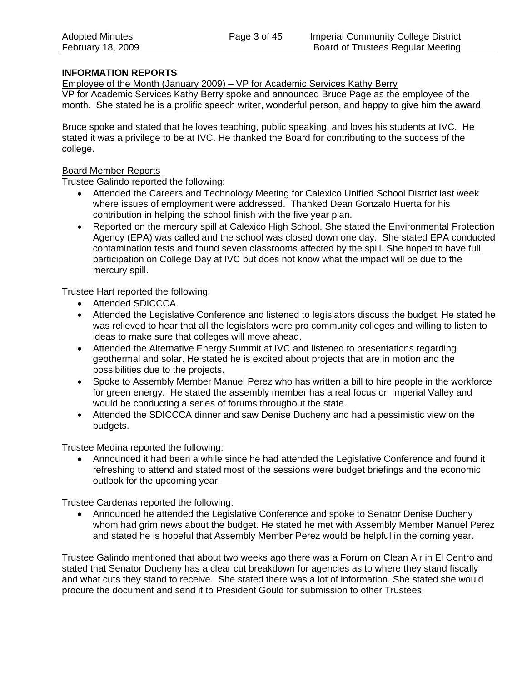## **INFORMATION REPORTS**

Employee of the Month (January 2009) – VP for Academic Services Kathy Berry

VP for Academic Services Kathy Berry spoke and announced Bruce Page as the employee of the month. She stated he is a prolific speech writer, wonderful person, and happy to give him the award.

Bruce spoke and stated that he loves teaching, public speaking, and loves his students at IVC. He stated it was a privilege to be at IVC. He thanked the Board for contributing to the success of the college.

## Board Member Reports

Trustee Galindo reported the following:

- Attended the Careers and Technology Meeting for Calexico Unified School District last week where issues of employment were addressed. Thanked Dean Gonzalo Huerta for his contribution in helping the school finish with the five year plan.
- Reported on the mercury spill at Calexico High School. She stated the Environmental Protection Agency (EPA) was called and the school was closed down one day. She stated EPA conducted contamination tests and found seven classrooms affected by the spill. She hoped to have full participation on College Day at IVC but does not know what the impact will be due to the mercury spill.

Trustee Hart reported the following:

- Attended SDICCCA.
- Attended the Legislative Conference and listened to legislators discuss the budget. He stated he was relieved to hear that all the legislators were pro community colleges and willing to listen to ideas to make sure that colleges will move ahead.
- Attended the Alternative Energy Summit at IVC and listened to presentations regarding geothermal and solar. He stated he is excited about projects that are in motion and the possibilities due to the projects.
- Spoke to Assembly Member Manuel Perez who has written a bill to hire people in the workforce for green energy. He stated the assembly member has a real focus on Imperial Valley and would be conducting a series of forums throughout the state.
- Attended the SDICCCA dinner and saw Denise Ducheny and had a pessimistic view on the budgets.

Trustee Medina reported the following:

• Announced it had been a while since he had attended the Legislative Conference and found it refreshing to attend and stated most of the sessions were budget briefings and the economic outlook for the upcoming year.

Trustee Cardenas reported the following:

• Announced he attended the Legislative Conference and spoke to Senator Denise Ducheny whom had grim news about the budget. He stated he met with Assembly Member Manuel Perez and stated he is hopeful that Assembly Member Perez would be helpful in the coming year.

Trustee Galindo mentioned that about two weeks ago there was a Forum on Clean Air in El Centro and stated that Senator Ducheny has a clear cut breakdown for agencies as to where they stand fiscally and what cuts they stand to receive. She stated there was a lot of information. She stated she would procure the document and send it to President Gould for submission to other Trustees.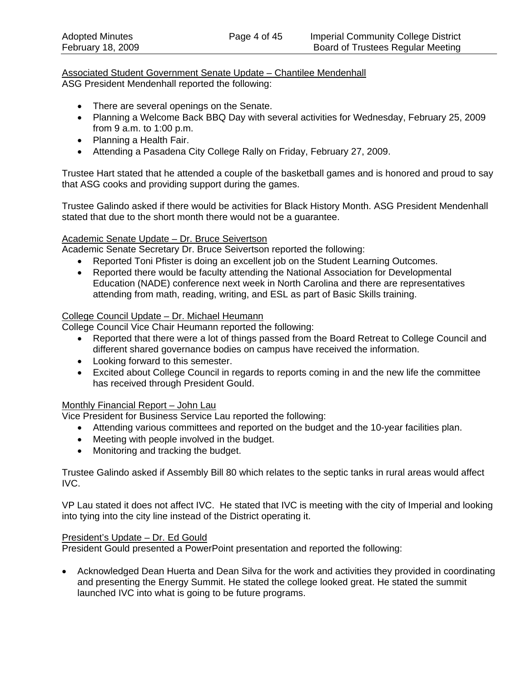#### Associated Student Government Senate Update – Chantilee Mendenhall ASG President Mendenhall reported the following:

- There are several openings on the Senate.
- Planning a Welcome Back BBQ Day with several activities for Wednesday, February 25, 2009 from 9 a.m. to 1:00 p.m.
- Planning a Health Fair.
- Attending a Pasadena City College Rally on Friday, February 27, 2009.

Trustee Hart stated that he attended a couple of the basketball games and is honored and proud to say that ASG cooks and providing support during the games.

Trustee Galindo asked if there would be activities for Black History Month. ASG President Mendenhall stated that due to the short month there would not be a guarantee.

### Academic Senate Update – Dr. Bruce Seivertson

Academic Senate Secretary Dr. Bruce Seivertson reported the following:

- Reported Toni Pfister is doing an excellent job on the Student Learning Outcomes.
- Reported there would be faculty attending the National Association for Developmental Education (NADE) conference next week in North Carolina and there are representatives attending from math, reading, writing, and ESL as part of Basic Skills training.

#### College Council Update – Dr. Michael Heumann

College Council Vice Chair Heumann reported the following:

- Reported that there were a lot of things passed from the Board Retreat to College Council and different shared governance bodies on campus have received the information.
- Looking forward to this semester.
- Excited about College Council in regards to reports coming in and the new life the committee has received through President Gould.

### Monthly Financial Report – John Lau

Vice President for Business Service Lau reported the following:

- Attending various committees and reported on the budget and the 10-year facilities plan.
- Meeting with people involved in the budget.
- Monitoring and tracking the budget.

Trustee Galindo asked if Assembly Bill 80 which relates to the septic tanks in rural areas would affect IVC.

VP Lau stated it does not affect IVC. He stated that IVC is meeting with the city of Imperial and looking into tying into the city line instead of the District operating it.

#### President's Update – Dr. Ed Gould

President Gould presented a PowerPoint presentation and reported the following:

• Acknowledged Dean Huerta and Dean Silva for the work and activities they provided in coordinating and presenting the Energy Summit. He stated the college looked great. He stated the summit launched IVC into what is going to be future programs.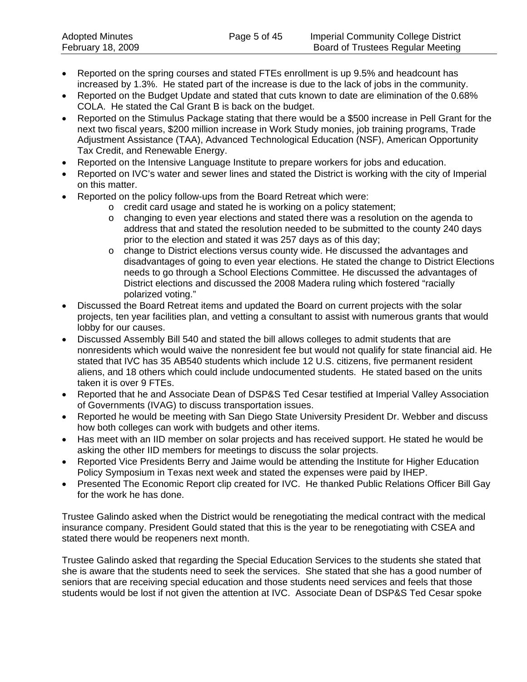- Reported on the spring courses and stated FTEs enrollment is up 9.5% and headcount has increased by 1.3%. He stated part of the increase is due to the lack of jobs in the community.
- Reported on the Budget Update and stated that cuts known to date are elimination of the 0.68% COLA. He stated the Cal Grant B is back on the budget.
- Reported on the Stimulus Package stating that there would be a \$500 increase in Pell Grant for the next two fiscal years, \$200 million increase in Work Study monies, job training programs, Trade Adjustment Assistance (TAA), Advanced Technological Education (NSF), American Opportunity Tax Credit, and Renewable Energy.
- Reported on the Intensive Language Institute to prepare workers for jobs and education.
- Reported on IVC's water and sewer lines and stated the District is working with the city of Imperial on this matter.
- Reported on the policy follow-ups from the Board Retreat which were:
	- o credit card usage and stated he is working on a policy statement;
		- o changing to even year elections and stated there was a resolution on the agenda to address that and stated the resolution needed to be submitted to the county 240 days prior to the election and stated it was 257 days as of this day;
		- o change to District elections versus county wide. He discussed the advantages and disadvantages of going to even year elections. He stated the change to District Elections needs to go through a School Elections Committee. He discussed the advantages of District elections and discussed the 2008 Madera ruling which fostered "racially polarized voting."
- Discussed the Board Retreat items and updated the Board on current projects with the solar projects, ten year facilities plan, and vetting a consultant to assist with numerous grants that would lobby for our causes.
- Discussed Assembly Bill 540 and stated the bill allows colleges to admit students that are nonresidents which would waive the nonresident fee but would not qualify for state financial aid. He stated that IVC has 35 AB540 students which include 12 U.S. citizens, five permanent resident aliens, and 18 others which could include undocumented students. He stated based on the units taken it is over 9 FTEs.
- Reported that he and Associate Dean of DSP&S Ted Cesar testified at Imperial Valley Association of Governments (IVAG) to discuss transportation issues.
- Reported he would be meeting with San Diego State University President Dr. Webber and discuss how both colleges can work with budgets and other items.
- Has meet with an IID member on solar projects and has received support. He stated he would be asking the other IID members for meetings to discuss the solar projects.
- Reported Vice Presidents Berry and Jaime would be attending the Institute for Higher Education Policy Symposium in Texas next week and stated the expenses were paid by IHEP.
- Presented The Economic Report clip created for IVC. He thanked Public Relations Officer Bill Gay for the work he has done.

Trustee Galindo asked when the District would be renegotiating the medical contract with the medical insurance company. President Gould stated that this is the year to be renegotiating with CSEA and stated there would be reopeners next month.

Trustee Galindo asked that regarding the Special Education Services to the students she stated that she is aware that the students need to seek the services. She stated that she has a good number of seniors that are receiving special education and those students need services and feels that those students would be lost if not given the attention at IVC. Associate Dean of DSP&S Ted Cesar spoke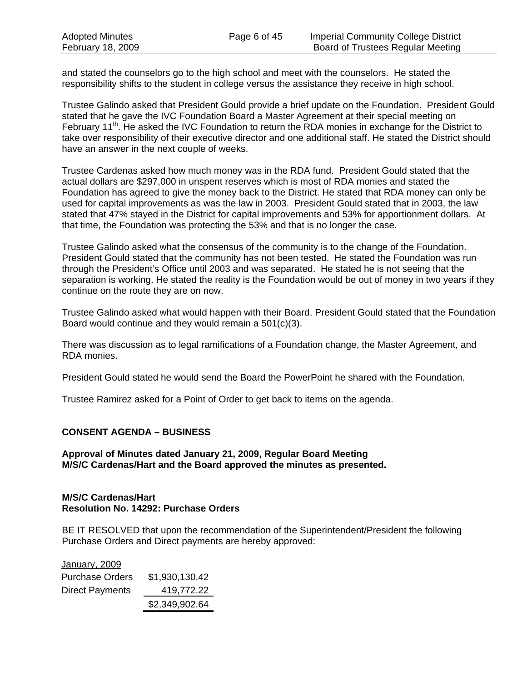and stated the counselors go to the high school and meet with the counselors. He stated the responsibility shifts to the student in college versus the assistance they receive in high school.

Trustee Galindo asked that President Gould provide a brief update on the Foundation. President Gould stated that he gave the IVC Foundation Board a Master Agreement at their special meeting on February 11<sup>th</sup>. He asked the IVC Foundation to return the RDA monies in exchange for the District to take over responsibility of their executive director and one additional staff. He stated the District should have an answer in the next couple of weeks.

Trustee Cardenas asked how much money was in the RDA fund. President Gould stated that the actual dollars are \$297,000 in unspent reserves which is most of RDA monies and stated the Foundation has agreed to give the money back to the District. He stated that RDA money can only be used for capital improvements as was the law in 2003. President Gould stated that in 2003, the law stated that 47% stayed in the District for capital improvements and 53% for apportionment dollars. At that time, the Foundation was protecting the 53% and that is no longer the case.

Trustee Galindo asked what the consensus of the community is to the change of the Foundation. President Gould stated that the community has not been tested. He stated the Foundation was run through the President's Office until 2003 and was separated. He stated he is not seeing that the separation is working. He stated the reality is the Foundation would be out of money in two years if they continue on the route they are on now.

Trustee Galindo asked what would happen with their Board. President Gould stated that the Foundation Board would continue and they would remain a 501(c)(3).

There was discussion as to legal ramifications of a Foundation change, the Master Agreement, and RDA monies.

President Gould stated he would send the Board the PowerPoint he shared with the Foundation.

Trustee Ramirez asked for a Point of Order to get back to items on the agenda.

### **CONSENT AGENDA – BUSINESS**

**Approval of Minutes dated January 21, 2009, Regular Board Meeting M/S/C Cardenas/Hart and the Board approved the minutes as presented.** 

#### **M/S/C Cardenas/Hart Resolution No. 14292: Purchase Orders**

BE IT RESOLVED that upon the recommendation of the Superintendent/President the following Purchase Orders and Direct payments are hereby approved:

| January, 2009          |                |
|------------------------|----------------|
| <b>Purchase Orders</b> | \$1,930,130.42 |
| <b>Direct Payments</b> | 419,772.22     |
|                        | \$2,349,902.64 |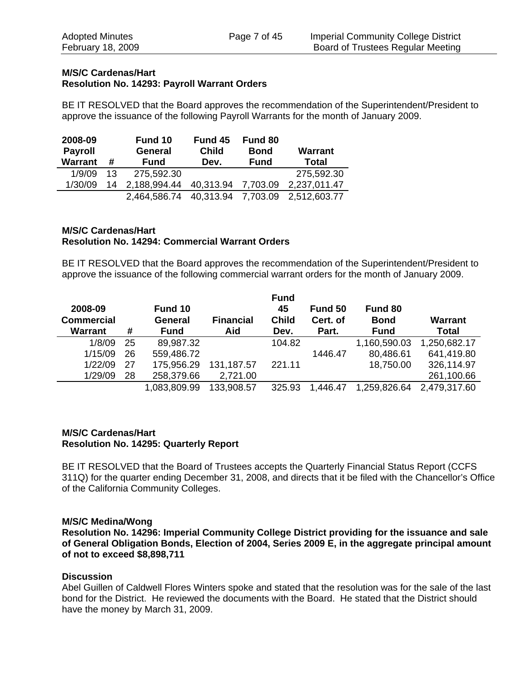### **M/S/C Cardenas/Hart Resolution No. 14293: Payroll Warrant Orders**

BE IT RESOLVED that the Board approves the recommendation of the Superintendent/President to approve the issuance of the following Payroll Warrants for the month of January 2009.

| 2008-09<br><b>Payroll</b><br><b>Warrant</b> | #  | Fund 10<br><b>General</b><br><b>Fund</b> | Fund 45<br><b>Child</b><br>Dev. | Fund 80<br><b>Bond</b><br><b>Fund</b> | <b>Warrant</b><br><b>Total</b> |
|---------------------------------------------|----|------------------------------------------|---------------------------------|---------------------------------------|--------------------------------|
| 1/9/09                                      | 13 | 275,592.30                               |                                 |                                       | 275,592.30                     |
| 1/30/09                                     | 14 | 2,188,994.44                             | 40,313.94                       | 7,703.09                              | 2,237,011.47                   |
|                                             |    | 2,464,586.74                             | 40,313.94                       | 7,703.09                              | 2,512,603.77                   |

## **M/S/C Cardenas/Hart Resolution No. 14294: Commercial Warrant Orders**

BE IT RESOLVED that the Board approves the recommendation of the Superintendent/President to approve the issuance of the following commercial warrant orders for the month of January 2009.

| 2008-09<br><b>Commercial</b><br><b>Warrant</b> | #  | Fund 10<br>General<br><b>Fund</b> | <b>Financial</b><br>Aid | <b>Fund</b><br>45<br><b>Child</b><br>Dev. | Fund 50<br>Cert. of<br>Part. | Fund 80<br><b>Bond</b><br><b>Fund</b> | <b>Warrant</b><br><b>Total</b> |
|------------------------------------------------|----|-----------------------------------|-------------------------|-------------------------------------------|------------------------------|---------------------------------------|--------------------------------|
| 1/8/09                                         | 25 | 89,987.32                         |                         | 104.82                                    |                              | 1,160,590.03                          | 1,250,682.17                   |
| 1/15/09                                        | 26 | 559,486.72                        |                         |                                           | 1446.47                      | 80,486.61                             | 641,419.80                     |
| 1/22/09                                        | 27 | 175,956.29                        | 131, 187.57             | 221.11                                    |                              | 18,750.00                             | 326,114.97                     |
| 1/29/09                                        | 28 | 258,379.66                        | 2,721.00                |                                           |                              |                                       | 261,100.66                     |
|                                                |    | 1,083,809.99                      | 133,908.57              | 325.93                                    | 1,446.47                     | 1,259,826.64                          | 2,479,317.60                   |

### **M/S/C Cardenas/Hart Resolution No. 14295: Quarterly Report**

BE IT RESOLVED that the Board of Trustees accepts the Quarterly Financial Status Report (CCFS 311Q) for the quarter ending December 31, 2008, and directs that it be filed with the Chancellor's Office of the California Community Colleges.

### **M/S/C Medina/Wong**

**Resolution No. 14296: Imperial Community College District providing for the issuance and sale of General Obligation Bonds, Election of 2004, Series 2009 E, in the aggregate principal amount of not to exceed \$8,898,711** 

## **Discussion**

Abel Guillen of Caldwell Flores Winters spoke and stated that the resolution was for the sale of the last bond for the District. He reviewed the documents with the Board. He stated that the District should have the money by March 31, 2009.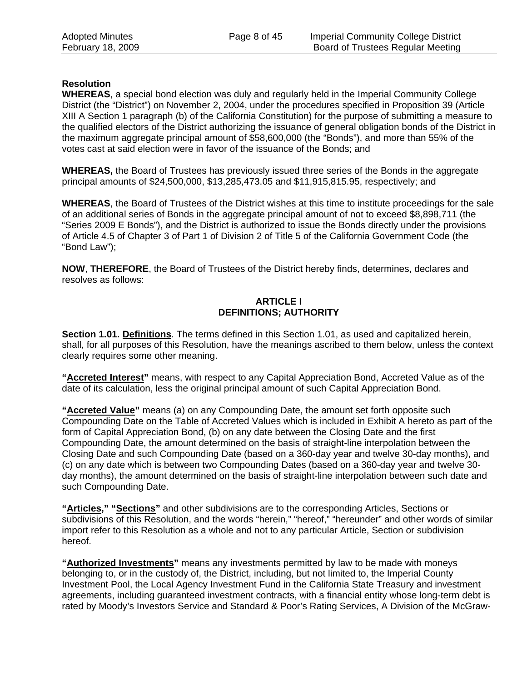## **Resolution**

**WHEREAS**, a special bond election was duly and regularly held in the Imperial Community College District (the "District") on November 2, 2004, under the procedures specified in Proposition 39 (Article XIII A Section 1 paragraph (b) of the California Constitution) for the purpose of submitting a measure to the qualified electors of the District authorizing the issuance of general obligation bonds of the District in the maximum aggregate principal amount of \$58,600,000 (the "Bonds"), and more than 55% of the votes cast at said election were in favor of the issuance of the Bonds; and

**WHEREAS,** the Board of Trustees has previously issued three series of the Bonds in the aggregate principal amounts of \$24,500,000, \$13,285,473.05 and \$11,915,815.95, respectively; and

**WHEREAS**, the Board of Trustees of the District wishes at this time to institute proceedings for the sale of an additional series of Bonds in the aggregate principal amount of not to exceed \$8,898,711 (the "Series 2009 E Bonds"), and the District is authorized to issue the Bonds directly under the provisions of Article 4.5 of Chapter 3 of Part 1 of Division 2 of Title 5 of the California Government Code (the "Bond Law");

**NOW**, **THEREFORE**, the Board of Trustees of the District hereby finds, determines, declares and resolves as follows:

### **ARTICLE I DEFINITIONS; AUTHORITY**

**Section 1.01. Definitions**. The terms defined in this Section 1.01, as used and capitalized herein, shall, for all purposes of this Resolution, have the meanings ascribed to them below, unless the context clearly requires some other meaning.

**"Accreted Interest"** means, with respect to any Capital Appreciation Bond, Accreted Value as of the date of its calculation, less the original principal amount of such Capital Appreciation Bond.

**"Accreted Value"** means (a) on any Compounding Date, the amount set forth opposite such Compounding Date on the Table of Accreted Values which is included in Exhibit A hereto as part of the form of Capital Appreciation Bond, (b) on any date between the Closing Date and the first Compounding Date, the amount determined on the basis of straight-line interpolation between the Closing Date and such Compounding Date (based on a 360-day year and twelve 30-day months), and (c) on any date which is between two Compounding Dates (based on a 360-day year and twelve 30 day months), the amount determined on the basis of straight-line interpolation between such date and such Compounding Date.

**"Articles," "Sections"** and other subdivisions are to the corresponding Articles, Sections or subdivisions of this Resolution, and the words "herein," "hereof," "hereunder" and other words of similar import refer to this Resolution as a whole and not to any particular Article, Section or subdivision hereof.

**"Authorized Investments"** means any investments permitted by law to be made with moneys belonging to, or in the custody of, the District, including, but not limited to, the Imperial County Investment Pool, the Local Agency Investment Fund in the California State Treasury and investment agreements, including guaranteed investment contracts, with a financial entity whose long-term debt is rated by Moody's Investors Service and Standard & Poor's Rating Services, A Division of the McGraw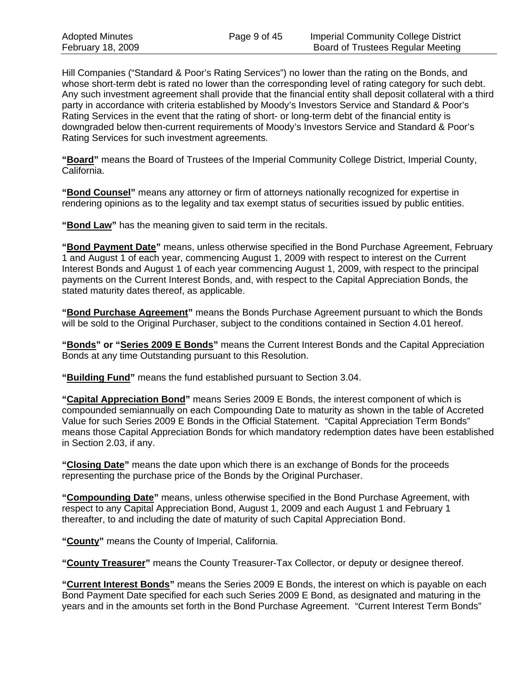Hill Companies ("Standard & Poor's Rating Services") no lower than the rating on the Bonds, and whose short-term debt is rated no lower than the corresponding level of rating category for such debt. Any such investment agreement shall provide that the financial entity shall deposit collateral with a third party in accordance with criteria established by Moody's Investors Service and Standard & Poor's Rating Services in the event that the rating of short- or long-term debt of the financial entity is downgraded below then-current requirements of Moody's Investors Service and Standard & Poor's Rating Services for such investment agreements.

**"Board"** means the Board of Trustees of the Imperial Community College District, Imperial County, California.

**"Bond Counsel"** means any attorney or firm of attorneys nationally recognized for expertise in rendering opinions as to the legality and tax exempt status of securities issued by public entities.

**"Bond Law"** has the meaning given to said term in the recitals.

**"Bond Payment Date"** means, unless otherwise specified in the Bond Purchase Agreement, February 1 and August 1 of each year, commencing August 1, 2009 with respect to interest on the Current Interest Bonds and August 1 of each year commencing August 1, 2009, with respect to the principal payments on the Current Interest Bonds, and, with respect to the Capital Appreciation Bonds, the stated maturity dates thereof, as applicable.

**"Bond Purchase Agreement"** means the Bonds Purchase Agreement pursuant to which the Bonds will be sold to the Original Purchaser, subject to the conditions contained in Section 4.01 hereof.

**"Bonds" or "Series 2009 E Bonds"** means the Current Interest Bonds and the Capital Appreciation Bonds at any time Outstanding pursuant to this Resolution.

**"Building Fund"** means the fund established pursuant to Section 3.04.

**"Capital Appreciation Bond"** means Series 2009 E Bonds, the interest component of which is compounded semiannually on each Compounding Date to maturity as shown in the table of Accreted Value for such Series 2009 E Bonds in the Official Statement. "Capital Appreciation Term Bonds" means those Capital Appreciation Bonds for which mandatory redemption dates have been established in Section 2.03, if any.

**"Closing Date"** means the date upon which there is an exchange of Bonds for the proceeds representing the purchase price of the Bonds by the Original Purchaser.

**"Compounding Date"** means, unless otherwise specified in the Bond Purchase Agreement, with respect to any Capital Appreciation Bond, August 1, 2009 and each August 1 and February 1 thereafter, to and including the date of maturity of such Capital Appreciation Bond.

**"County"** means the County of Imperial, California.

**"County Treasurer"** means the County Treasurer-Tax Collector, or deputy or designee thereof.

**"Current Interest Bonds"** means the Series 2009 E Bonds, the interest on which is payable on each Bond Payment Date specified for each such Series 2009 E Bond, as designated and maturing in the years and in the amounts set forth in the Bond Purchase Agreement. "Current Interest Term Bonds"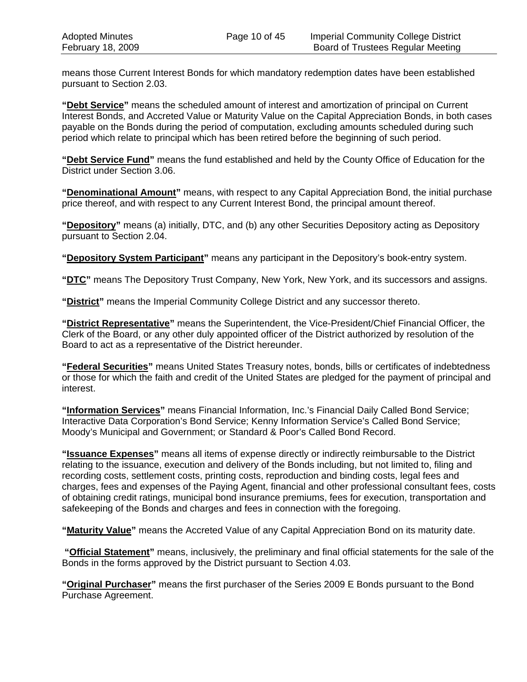means those Current Interest Bonds for which mandatory redemption dates have been established pursuant to Section 2.03.

**"Debt Service"** means the scheduled amount of interest and amortization of principal on Current Interest Bonds, and Accreted Value or Maturity Value on the Capital Appreciation Bonds, in both cases payable on the Bonds during the period of computation, excluding amounts scheduled during such period which relate to principal which has been retired before the beginning of such period.

**"Debt Service Fund"** means the fund established and held by the County Office of Education for the District under Section 3.06.

**"Denominational Amount"** means, with respect to any Capital Appreciation Bond, the initial purchase price thereof, and with respect to any Current Interest Bond, the principal amount thereof.

**"Depository"** means (a) initially, DTC, and (b) any other Securities Depository acting as Depository pursuant to Section 2.04.

**"Depository System Participant"** means any participant in the Depository's book-entry system.

**"DTC"** means The Depository Trust Company, New York, New York, and its successors and assigns.

**"District"** means the Imperial Community College District and any successor thereto.

**"District Representative"** means the Superintendent, the Vice-President/Chief Financial Officer, the Clerk of the Board, or any other duly appointed officer of the District authorized by resolution of the Board to act as a representative of the District hereunder.

**"Federal Securities"** means United States Treasury notes, bonds, bills or certificates of indebtedness or those for which the faith and credit of the United States are pledged for the payment of principal and interest.

**"Information Services"** means Financial Information, Inc.'s Financial Daily Called Bond Service; Interactive Data Corporation's Bond Service; Kenny Information Service's Called Bond Service; Moody's Municipal and Government; or Standard & Poor's Called Bond Record.

**"Issuance Expenses"** means all items of expense directly or indirectly reimbursable to the District relating to the issuance, execution and delivery of the Bonds including, but not limited to, filing and recording costs, settlement costs, printing costs, reproduction and binding costs, legal fees and charges, fees and expenses of the Paying Agent, financial and other professional consultant fees, costs of obtaining credit ratings, municipal bond insurance premiums, fees for execution, transportation and safekeeping of the Bonds and charges and fees in connection with the foregoing.

**"Maturity Value"** means the Accreted Value of any Capital Appreciation Bond on its maturity date.

 **"Official Statement"** means, inclusively, the preliminary and final official statements for the sale of the Bonds in the forms approved by the District pursuant to Section 4.03.

**"Original Purchaser"** means the first purchaser of the Series 2009 E Bonds pursuant to the Bond Purchase Agreement.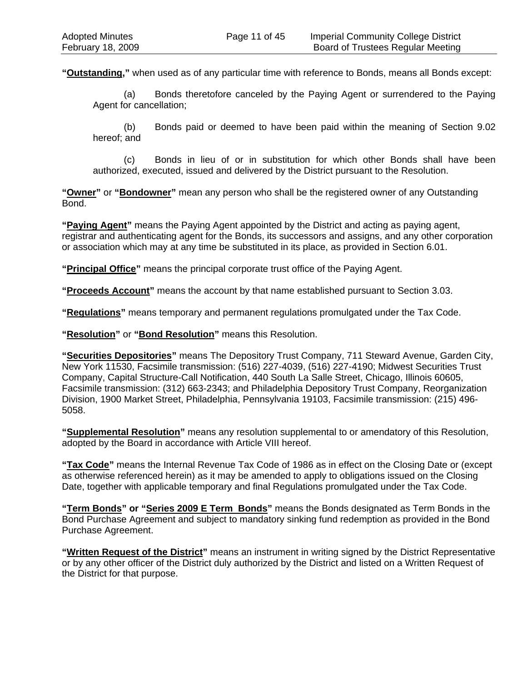**"Outstanding,"** when used as of any particular time with reference to Bonds, means all Bonds except:

(a) Bonds theretofore canceled by the Paying Agent or surrendered to the Paying Agent for cancellation;

(b) Bonds paid or deemed to have been paid within the meaning of Section 9.02 hereof; and

(c) Bonds in lieu of or in substitution for which other Bonds shall have been authorized, executed, issued and delivered by the District pursuant to the Resolution.

**"Owner"** or **"Bondowner"** mean any person who shall be the registered owner of any Outstanding Bond.

**"Paying Agent"** means the Paying Agent appointed by the District and acting as paying agent, registrar and authenticating agent for the Bonds, its successors and assigns, and any other corporation or association which may at any time be substituted in its place, as provided in Section 6.01.

**"Principal Office"** means the principal corporate trust office of the Paying Agent.

**"Proceeds Account"** means the account by that name established pursuant to Section 3.03.

**"Regulations"** means temporary and permanent regulations promulgated under the Tax Code.

**"Resolution"** or **"Bond Resolution"** means this Resolution.

**"Securities Depositories"** means The Depository Trust Company, 711 Steward Avenue, Garden City, New York 11530, Facsimile transmission: (516) 227-4039, (516) 227-4190; Midwest Securities Trust Company, Capital Structure-Call Notification, 440 South La Salle Street, Chicago, Illinois 60605, Facsimile transmission: (312) 663-2343; and Philadelphia Depository Trust Company, Reorganization Division, 1900 Market Street, Philadelphia, Pennsylvania 19103, Facsimile transmission: (215) 496- 5058.

**"Supplemental Resolution"** means any resolution supplemental to or amendatory of this Resolution, adopted by the Board in accordance with Article VIII hereof.

**"Tax Code"** means the Internal Revenue Tax Code of 1986 as in effect on the Closing Date or (except as otherwise referenced herein) as it may be amended to apply to obligations issued on the Closing Date, together with applicable temporary and final Regulations promulgated under the Tax Code.

**"Term Bonds" or "Series 2009 E Term Bonds"** means the Bonds designated as Term Bonds in the Bond Purchase Agreement and subject to mandatory sinking fund redemption as provided in the Bond Purchase Agreement.

**"Written Request of the District"** means an instrument in writing signed by the District Representative or by any other officer of the District duly authorized by the District and listed on a Written Request of the District for that purpose.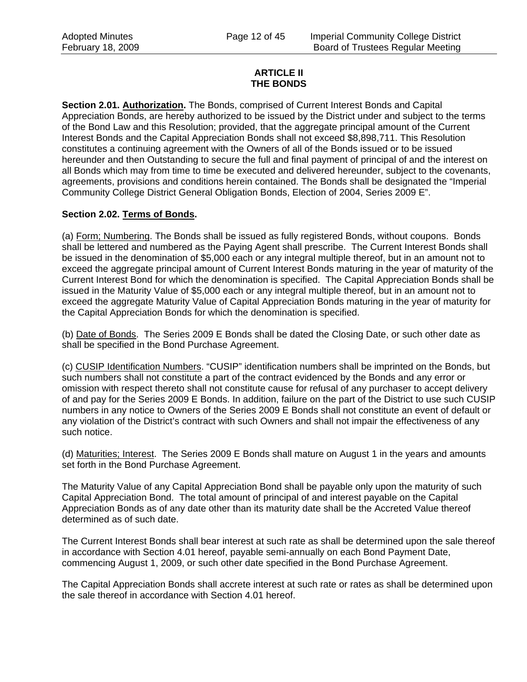## **ARTICLE II THE BONDS**

**Section 2.01. Authorization.** The Bonds, comprised of Current Interest Bonds and Capital Appreciation Bonds, are hereby authorized to be issued by the District under and subject to the terms of the Bond Law and this Resolution; provided, that the aggregate principal amount of the Current Interest Bonds and the Capital Appreciation Bonds shall not exceed \$8,898,711. This Resolution constitutes a continuing agreement with the Owners of all of the Bonds issued or to be issued hereunder and then Outstanding to secure the full and final payment of principal of and the interest on all Bonds which may from time to time be executed and delivered hereunder, subject to the covenants, agreements, provisions and conditions herein contained. The Bonds shall be designated the "Imperial Community College District General Obligation Bonds, Election of 2004, Series 2009 E".

## **Section 2.02. Terms of Bonds.**

(a) Form; Numbering. The Bonds shall be issued as fully registered Bonds, without coupons. Bonds shall be lettered and numbered as the Paying Agent shall prescribe. The Current Interest Bonds shall be issued in the denomination of \$5,000 each or any integral multiple thereof, but in an amount not to exceed the aggregate principal amount of Current Interest Bonds maturing in the year of maturity of the Current Interest Bond for which the denomination is specified. The Capital Appreciation Bonds shall be issued in the Maturity Value of \$5,000 each or any integral multiple thereof, but in an amount not to exceed the aggregate Maturity Value of Capital Appreciation Bonds maturing in the year of maturity for the Capital Appreciation Bonds for which the denomination is specified.

(b) Date of Bonds. The Series 2009 E Bonds shall be dated the Closing Date, or such other date as shall be specified in the Bond Purchase Agreement.

(c) CUSIP Identification Numbers. "CUSIP" identification numbers shall be imprinted on the Bonds, but such numbers shall not constitute a part of the contract evidenced by the Bonds and any error or omission with respect thereto shall not constitute cause for refusal of any purchaser to accept delivery of and pay for the Series 2009 E Bonds. In addition, failure on the part of the District to use such CUSIP numbers in any notice to Owners of the Series 2009 E Bonds shall not constitute an event of default or any violation of the District's contract with such Owners and shall not impair the effectiveness of any such notice.

(d) Maturities; Interest. The Series 2009 E Bonds shall mature on August 1 in the years and amounts set forth in the Bond Purchase Agreement.

The Maturity Value of any Capital Appreciation Bond shall be payable only upon the maturity of such Capital Appreciation Bond. The total amount of principal of and interest payable on the Capital Appreciation Bonds as of any date other than its maturity date shall be the Accreted Value thereof determined as of such date.

The Current Interest Bonds shall bear interest at such rate as shall be determined upon the sale thereof in accordance with Section 4.01 hereof, payable semi-annually on each Bond Payment Date, commencing August 1, 2009, or such other date specified in the Bond Purchase Agreement.

The Capital Appreciation Bonds shall accrete interest at such rate or rates as shall be determined upon the sale thereof in accordance with Section 4.01 hereof.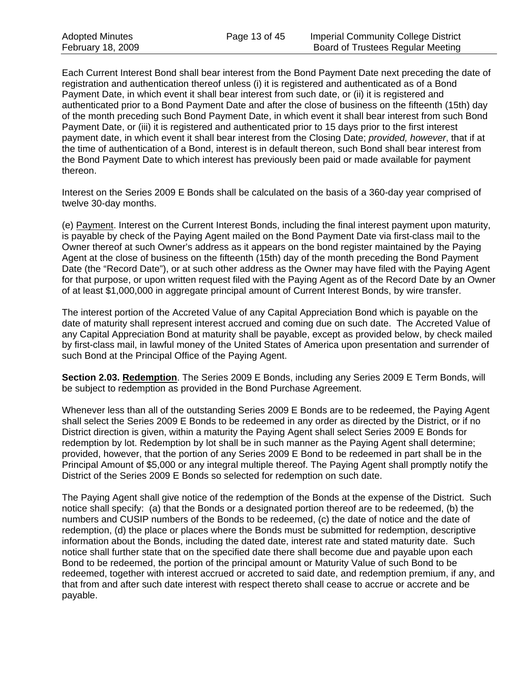Each Current Interest Bond shall bear interest from the Bond Payment Date next preceding the date of registration and authentication thereof unless (i) it is registered and authenticated as of a Bond Payment Date, in which event it shall bear interest from such date, or (ii) it is registered and authenticated prior to a Bond Payment Date and after the close of business on the fifteenth (15th) day of the month preceding such Bond Payment Date, in which event it shall bear interest from such Bond Payment Date, or (iii) it is registered and authenticated prior to 15 days prior to the first interest payment date, in which event it shall bear interest from the Closing Date; *provided, however*, that if at the time of authentication of a Bond, interest is in default thereon, such Bond shall bear interest from the Bond Payment Date to which interest has previously been paid or made available for payment thereon.

Interest on the Series 2009 E Bonds shall be calculated on the basis of a 360-day year comprised of twelve 30-day months.

(e) Payment. Interest on the Current Interest Bonds, including the final interest payment upon maturity, is payable by check of the Paying Agent mailed on the Bond Payment Date via first-class mail to the Owner thereof at such Owner's address as it appears on the bond register maintained by the Paying Agent at the close of business on the fifteenth (15th) day of the month preceding the Bond Payment Date (the "Record Date"), or at such other address as the Owner may have filed with the Paying Agent for that purpose, or upon written request filed with the Paying Agent as of the Record Date by an Owner of at least \$1,000,000 in aggregate principal amount of Current Interest Bonds, by wire transfer.

The interest portion of the Accreted Value of any Capital Appreciation Bond which is payable on the date of maturity shall represent interest accrued and coming due on such date. The Accreted Value of any Capital Appreciation Bond at maturity shall be payable, except as provided below, by check mailed by first-class mail, in lawful money of the United States of America upon presentation and surrender of such Bond at the Principal Office of the Paying Agent.

**Section 2.03. Redemption**. The Series 2009 E Bonds, including any Series 2009 E Term Bonds, will be subject to redemption as provided in the Bond Purchase Agreement.

Whenever less than all of the outstanding Series 2009 E Bonds are to be redeemed, the Paying Agent shall select the Series 2009 E Bonds to be redeemed in any order as directed by the District, or if no District direction is given, within a maturity the Paying Agent shall select Series 2009 E Bonds for redemption by lot. Redemption by lot shall be in such manner as the Paying Agent shall determine; provided, however, that the portion of any Series 2009 E Bond to be redeemed in part shall be in the Principal Amount of \$5,000 or any integral multiple thereof. The Paying Agent shall promptly notify the District of the Series 2009 E Bonds so selected for redemption on such date.

The Paying Agent shall give notice of the redemption of the Bonds at the expense of the District. Such notice shall specify: (a) that the Bonds or a designated portion thereof are to be redeemed, (b) the numbers and CUSIP numbers of the Bonds to be redeemed, (c) the date of notice and the date of redemption, (d) the place or places where the Bonds must be submitted for redemption, descriptive information about the Bonds, including the dated date, interest rate and stated maturity date. Such notice shall further state that on the specified date there shall become due and payable upon each Bond to be redeemed, the portion of the principal amount or Maturity Value of such Bond to be redeemed, together with interest accrued or accreted to said date, and redemption premium, if any, and that from and after such date interest with respect thereto shall cease to accrue or accrete and be payable.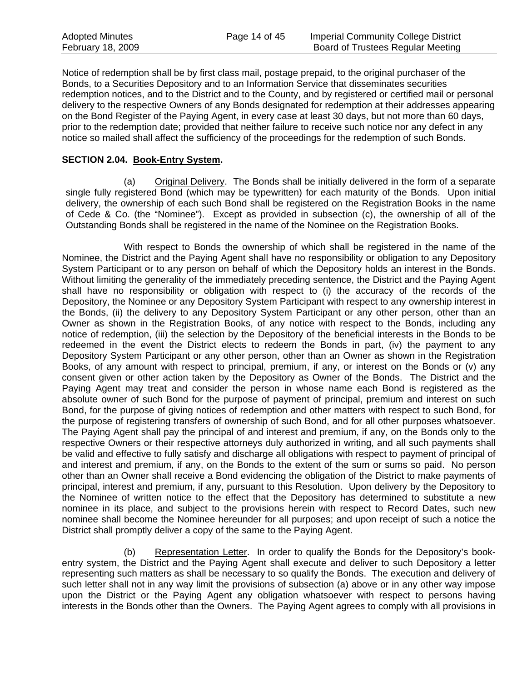| <b>Adopted Minutes</b> | Page 14 of 45 | <b>Imperial Community College District</b> |
|------------------------|---------------|--------------------------------------------|
| February 18, 2009      |               | Board of Trustees Regular Meeting          |

Notice of redemption shall be by first class mail, postage prepaid, to the original purchaser of the Bonds, to a Securities Depository and to an Information Service that disseminates securities redemption notices, and to the District and to the County, and by registered or certified mail or personal delivery to the respective Owners of any Bonds designated for redemption at their addresses appearing on the Bond Register of the Paying Agent, in every case at least 30 days, but not more than 60 days, prior to the redemption date; provided that neither failure to receive such notice nor any defect in any notice so mailed shall affect the sufficiency of the proceedings for the redemption of such Bonds.

#### **SECTION 2.04. Book-Entry System.**

(a) Original Delivery. The Bonds shall be initially delivered in the form of a separate single fully registered Bond (which may be typewritten) for each maturity of the Bonds. Upon initial delivery, the ownership of each such Bond shall be registered on the Registration Books in the name of Cede & Co. (the "Nominee"). Except as provided in subsection (c), the ownership of all of the Outstanding Bonds shall be registered in the name of the Nominee on the Registration Books.

With respect to Bonds the ownership of which shall be registered in the name of the Nominee, the District and the Paying Agent shall have no responsibility or obligation to any Depository System Participant or to any person on behalf of which the Depository holds an interest in the Bonds. Without limiting the generality of the immediately preceding sentence, the District and the Paying Agent shall have no responsibility or obligation with respect to (i) the accuracy of the records of the Depository, the Nominee or any Depository System Participant with respect to any ownership interest in the Bonds, (ii) the delivery to any Depository System Participant or any other person, other than an Owner as shown in the Registration Books, of any notice with respect to the Bonds, including any notice of redemption, (iii) the selection by the Depository of the beneficial interests in the Bonds to be redeemed in the event the District elects to redeem the Bonds in part, (iv) the payment to any Depository System Participant or any other person, other than an Owner as shown in the Registration Books, of any amount with respect to principal, premium, if any, or interest on the Bonds or (v) any consent given or other action taken by the Depository as Owner of the Bonds. The District and the Paying Agent may treat and consider the person in whose name each Bond is registered as the absolute owner of such Bond for the purpose of payment of principal, premium and interest on such Bond, for the purpose of giving notices of redemption and other matters with respect to such Bond, for the purpose of registering transfers of ownership of such Bond, and for all other purposes whatsoever. The Paying Agent shall pay the principal of and interest and premium, if any, on the Bonds only to the respective Owners or their respective attorneys duly authorized in writing, and all such payments shall be valid and effective to fully satisfy and discharge all obligations with respect to payment of principal of and interest and premium, if any, on the Bonds to the extent of the sum or sums so paid. No person other than an Owner shall receive a Bond evidencing the obligation of the District to make payments of principal, interest and premium, if any, pursuant to this Resolution. Upon delivery by the Depository to the Nominee of written notice to the effect that the Depository has determined to substitute a new nominee in its place, and subject to the provisions herein with respect to Record Dates, such new nominee shall become the Nominee hereunder for all purposes; and upon receipt of such a notice the District shall promptly deliver a copy of the same to the Paying Agent.

(b) Representation Letter. In order to qualify the Bonds for the Depository's bookentry system, the District and the Paying Agent shall execute and deliver to such Depository a letter representing such matters as shall be necessary to so qualify the Bonds. The execution and delivery of such letter shall not in any way limit the provisions of subsection (a) above or in any other way impose upon the District or the Paying Agent any obligation whatsoever with respect to persons having interests in the Bonds other than the Owners. The Paying Agent agrees to comply with all provisions in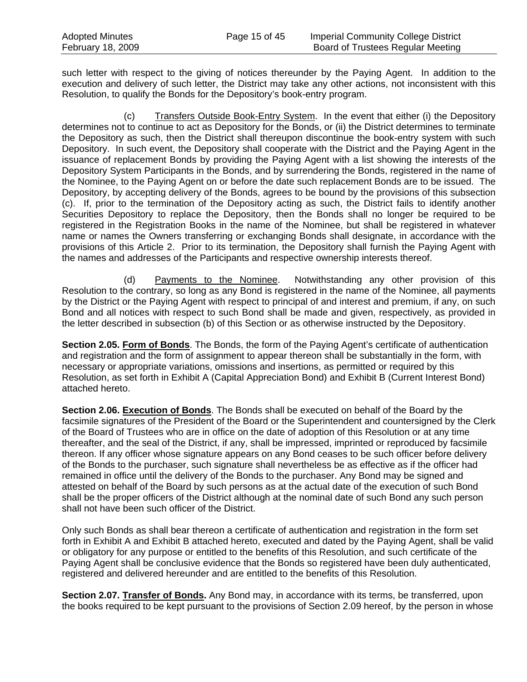| <b>Adopted Minutes</b> | Page 15 of 45 | <b>Imperial Community College District</b> |
|------------------------|---------------|--------------------------------------------|
| February 18, 2009      |               | <b>Board of Trustees Regular Meeting</b>   |

such letter with respect to the giving of notices thereunder by the Paying Agent. In addition to the execution and delivery of such letter, the District may take any other actions, not inconsistent with this Resolution, to qualify the Bonds for the Depository's book-entry program.

(c) Transfers Outside Book-Entry System. In the event that either (i) the Depository determines not to continue to act as Depository for the Bonds, or (ii) the District determines to terminate the Depository as such, then the District shall thereupon discontinue the book-entry system with such Depository. In such event, the Depository shall cooperate with the District and the Paying Agent in the issuance of replacement Bonds by providing the Paying Agent with a list showing the interests of the Depository System Participants in the Bonds, and by surrendering the Bonds, registered in the name of the Nominee, to the Paying Agent on or before the date such replacement Bonds are to be issued. The Depository, by accepting delivery of the Bonds, agrees to be bound by the provisions of this subsection (c). If, prior to the termination of the Depository acting as such, the District fails to identify another Securities Depository to replace the Depository, then the Bonds shall no longer be required to be registered in the Registration Books in the name of the Nominee, but shall be registered in whatever name or names the Owners transferring or exchanging Bonds shall designate, in accordance with the provisions of this Article 2. Prior to its termination, the Depository shall furnish the Paying Agent with the names and addresses of the Participants and respective ownership interests thereof.

(d) Payments to the Nominee. Notwithstanding any other provision of this Resolution to the contrary, so long as any Bond is registered in the name of the Nominee, all payments by the District or the Paying Agent with respect to principal of and interest and premium, if any, on such Bond and all notices with respect to such Bond shall be made and given, respectively, as provided in the letter described in subsection (b) of this Section or as otherwise instructed by the Depository.

**Section 2.05. Form of Bonds**. The Bonds, the form of the Paying Agent's certificate of authentication and registration and the form of assignment to appear thereon shall be substantially in the form, with necessary or appropriate variations, omissions and insertions, as permitted or required by this Resolution, as set forth in Exhibit A (Capital Appreciation Bond) and Exhibit B (Current Interest Bond) attached hereto.

Section 2.06. **Execution of Bonds**. The Bonds shall be executed on behalf of the Board by the facsimile signatures of the President of the Board or the Superintendent and countersigned by the Clerk of the Board of Trustees who are in office on the date of adoption of this Resolution or at any time thereafter, and the seal of the District, if any, shall be impressed, imprinted or reproduced by facsimile thereon. If any officer whose signature appears on any Bond ceases to be such officer before delivery of the Bonds to the purchaser, such signature shall nevertheless be as effective as if the officer had remained in office until the delivery of the Bonds to the purchaser. Any Bond may be signed and attested on behalf of the Board by such persons as at the actual date of the execution of such Bond shall be the proper officers of the District although at the nominal date of such Bond any such person shall not have been such officer of the District.

Only such Bonds as shall bear thereon a certificate of authentication and registration in the form set forth in Exhibit A and Exhibit B attached hereto, executed and dated by the Paying Agent, shall be valid or obligatory for any purpose or entitled to the benefits of this Resolution, and such certificate of the Paying Agent shall be conclusive evidence that the Bonds so registered have been duly authenticated, registered and delivered hereunder and are entitled to the benefits of this Resolution.

**Section 2.07. Transfer of Bonds.** Any Bond may, in accordance with its terms, be transferred, upon the books required to be kept pursuant to the provisions of Section 2.09 hereof, by the person in whose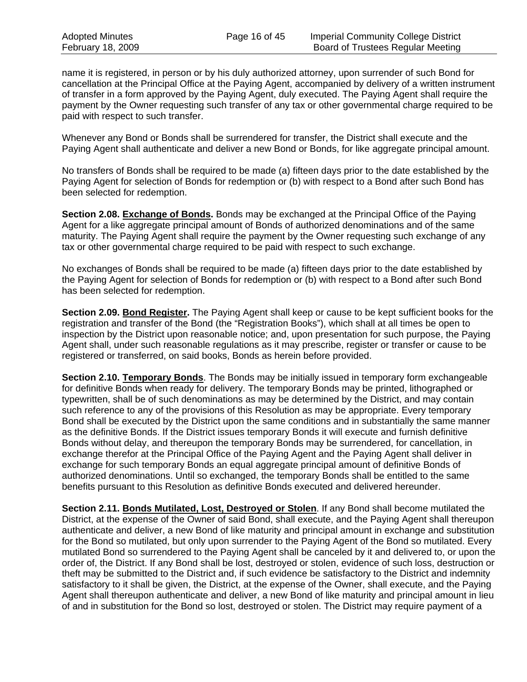name it is registered, in person or by his duly authorized attorney, upon surrender of such Bond for cancellation at the Principal Office at the Paying Agent, accompanied by delivery of a written instrument of transfer in a form approved by the Paying Agent, duly executed. The Paying Agent shall require the payment by the Owner requesting such transfer of any tax or other governmental charge required to be paid with respect to such transfer.

Whenever any Bond or Bonds shall be surrendered for transfer, the District shall execute and the Paying Agent shall authenticate and deliver a new Bond or Bonds, for like aggregate principal amount.

No transfers of Bonds shall be required to be made (a) fifteen days prior to the date established by the Paying Agent for selection of Bonds for redemption or (b) with respect to a Bond after such Bond has been selected for redemption.

**Section 2.08. Exchange of Bonds.** Bonds may be exchanged at the Principal Office of the Paying Agent for a like aggregate principal amount of Bonds of authorized denominations and of the same maturity. The Paying Agent shall require the payment by the Owner requesting such exchange of any tax or other governmental charge required to be paid with respect to such exchange.

No exchanges of Bonds shall be required to be made (a) fifteen days prior to the date established by the Paying Agent for selection of Bonds for redemption or (b) with respect to a Bond after such Bond has been selected for redemption.

**Section 2.09. Bond Register.** The Paying Agent shall keep or cause to be kept sufficient books for the registration and transfer of the Bond (the "Registration Books"), which shall at all times be open to inspection by the District upon reasonable notice; and, upon presentation for such purpose, the Paying Agent shall, under such reasonable regulations as it may prescribe, register or transfer or cause to be registered or transferred, on said books, Bonds as herein before provided.

**Section 2.10. Temporary Bonds**. The Bonds may be initially issued in temporary form exchangeable for definitive Bonds when ready for delivery. The temporary Bonds may be printed, lithographed or typewritten, shall be of such denominations as may be determined by the District, and may contain such reference to any of the provisions of this Resolution as may be appropriate. Every temporary Bond shall be executed by the District upon the same conditions and in substantially the same manner as the definitive Bonds. If the District issues temporary Bonds it will execute and furnish definitive Bonds without delay, and thereupon the temporary Bonds may be surrendered, for cancellation, in exchange therefor at the Principal Office of the Paying Agent and the Paying Agent shall deliver in exchange for such temporary Bonds an equal aggregate principal amount of definitive Bonds of authorized denominations. Until so exchanged, the temporary Bonds shall be entitled to the same benefits pursuant to this Resolution as definitive Bonds executed and delivered hereunder.

**Section 2.11. Bonds Mutilated, Lost, Destroyed or Stolen**. If any Bond shall become mutilated the District, at the expense of the Owner of said Bond, shall execute, and the Paying Agent shall thereupon authenticate and deliver, a new Bond of like maturity and principal amount in exchange and substitution for the Bond so mutilated, but only upon surrender to the Paying Agent of the Bond so mutilated. Every mutilated Bond so surrendered to the Paying Agent shall be canceled by it and delivered to, or upon the order of, the District. If any Bond shall be lost, destroyed or stolen, evidence of such loss, destruction or theft may be submitted to the District and, if such evidence be satisfactory to the District and indemnity satisfactory to it shall be given, the District, at the expense of the Owner, shall execute, and the Paying Agent shall thereupon authenticate and deliver, a new Bond of like maturity and principal amount in lieu of and in substitution for the Bond so lost, destroyed or stolen. The District may require payment of a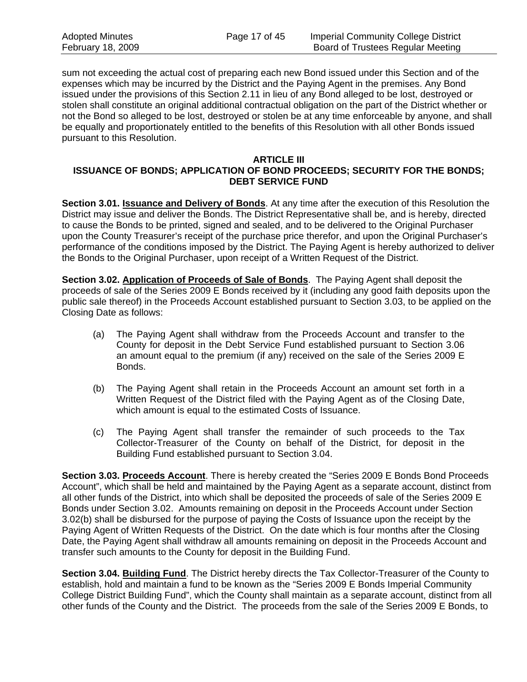sum not exceeding the actual cost of preparing each new Bond issued under this Section and of the expenses which may be incurred by the District and the Paying Agent in the premises. Any Bond issued under the provisions of this Section 2.11 in lieu of any Bond alleged to be lost, destroyed or stolen shall constitute an original additional contractual obligation on the part of the District whether or not the Bond so alleged to be lost, destroyed or stolen be at any time enforceable by anyone, and shall be equally and proportionately entitled to the benefits of this Resolution with all other Bonds issued pursuant to this Resolution.

#### **ARTICLE III ISSUANCE OF BONDS; APPLICATION OF BOND PROCEEDS; SECURITY FOR THE BONDS; DEBT SERVICE FUND**

**Section 3.01. Issuance and Delivery of Bonds**. At any time after the execution of this Resolution the District may issue and deliver the Bonds. The District Representative shall be, and is hereby, directed to cause the Bonds to be printed, signed and sealed, and to be delivered to the Original Purchaser upon the County Treasurer's receipt of the purchase price therefor, and upon the Original Purchaser's performance of the conditions imposed by the District. The Paying Agent is hereby authorized to deliver the Bonds to the Original Purchaser, upon receipt of a Written Request of the District.

**Section 3.02. Application of Proceeds of Sale of Bonds**. The Paying Agent shall deposit the proceeds of sale of the Series 2009 E Bonds received by it (including any good faith deposits upon the public sale thereof) in the Proceeds Account established pursuant to Section 3.03, to be applied on the Closing Date as follows:

- (a) The Paying Agent shall withdraw from the Proceeds Account and transfer to the County for deposit in the Debt Service Fund established pursuant to Section 3.06 an amount equal to the premium (if any) received on the sale of the Series 2009 E Bonds.
- (b) The Paying Agent shall retain in the Proceeds Account an amount set forth in a Written Request of the District filed with the Paying Agent as of the Closing Date, which amount is equal to the estimated Costs of Issuance.
- (c) The Paying Agent shall transfer the remainder of such proceeds to the Tax Collector-Treasurer of the County on behalf of the District, for deposit in the Building Fund established pursuant to Section 3.04.

**Section 3.03. Proceeds Account**. There is hereby created the "Series 2009 E Bonds Bond Proceeds Account", which shall be held and maintained by the Paying Agent as a separate account, distinct from all other funds of the District, into which shall be deposited the proceeds of sale of the Series 2009 E Bonds under Section 3.02. Amounts remaining on deposit in the Proceeds Account under Section 3.02(b) shall be disbursed for the purpose of paying the Costs of Issuance upon the receipt by the Paying Agent of Written Requests of the District. On the date which is four months after the Closing Date, the Paying Agent shall withdraw all amounts remaining on deposit in the Proceeds Account and transfer such amounts to the County for deposit in the Building Fund.

**Section 3.04. Building Fund**. The District hereby directs the Tax Collector-Treasurer of the County to establish, hold and maintain a fund to be known as the "Series 2009 E Bonds Imperial Community College District Building Fund", which the County shall maintain as a separate account, distinct from all other funds of the County and the District. The proceeds from the sale of the Series 2009 E Bonds, to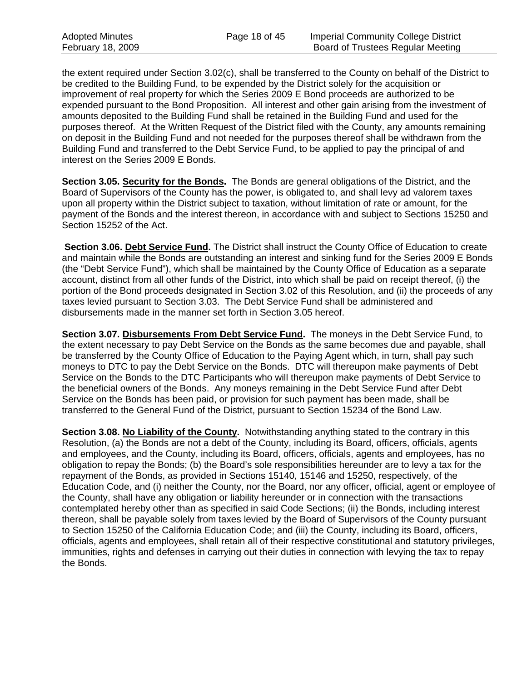the extent required under Section 3.02(c), shall be transferred to the County on behalf of the District to be credited to the Building Fund, to be expended by the District solely for the acquisition or improvement of real property for which the Series 2009 E Bond proceeds are authorized to be expended pursuant to the Bond Proposition. All interest and other gain arising from the investment of amounts deposited to the Building Fund shall be retained in the Building Fund and used for the purposes thereof. At the Written Request of the District filed with the County, any amounts remaining on deposit in the Building Fund and not needed for the purposes thereof shall be withdrawn from the Building Fund and transferred to the Debt Service Fund, to be applied to pay the principal of and interest on the Series 2009 E Bonds.

**Section 3.05. Security for the Bonds.** The Bonds are general obligations of the District, and the Board of Supervisors of the County has the power, is obligated to, and shall levy ad valorem taxes upon all property within the District subject to taxation, without limitation of rate or amount, for the payment of the Bonds and the interest thereon, in accordance with and subject to Sections 15250 and Section 15252 of the Act.

**Section 3.06. Debt Service Fund.** The District shall instruct the County Office of Education to create and maintain while the Bonds are outstanding an interest and sinking fund for the Series 2009 E Bonds (the "Debt Service Fund"), which shall be maintained by the County Office of Education as a separate account, distinct from all other funds of the District, into which shall be paid on receipt thereof, (i) the portion of the Bond proceeds designated in Section 3.02 of this Resolution, and (ii) the proceeds of any taxes levied pursuant to Section 3.03. The Debt Service Fund shall be administered and disbursements made in the manner set forth in Section 3.05 hereof.

**Section 3.07. Disbursements From Debt Service Fund.** The moneys in the Debt Service Fund, to the extent necessary to pay Debt Service on the Bonds as the same becomes due and payable, shall be transferred by the County Office of Education to the Paying Agent which, in turn, shall pay such moneys to DTC to pay the Debt Service on the Bonds. DTC will thereupon make payments of Debt Service on the Bonds to the DTC Participants who will thereupon make payments of Debt Service to the beneficial owners of the Bonds. Any moneys remaining in the Debt Service Fund after Debt Service on the Bonds has been paid, or provision for such payment has been made, shall be transferred to the General Fund of the District, pursuant to Section 15234 of the Bond Law.

**Section 3.08. No Liability of the County.** Notwithstanding anything stated to the contrary in this Resolution, (a) the Bonds are not a debt of the County, including its Board, officers, officials, agents and employees, and the County, including its Board, officers, officials, agents and employees, has no obligation to repay the Bonds; (b) the Board's sole responsibilities hereunder are to levy a tax for the repayment of the Bonds, as provided in Sections 15140, 15146 and 15250, respectively, of the Education Code, and (i) neither the County, nor the Board, nor any officer, official, agent or employee of the County, shall have any obligation or liability hereunder or in connection with the transactions contemplated hereby other than as specified in said Code Sections; (ii) the Bonds, including interest thereon, shall be payable solely from taxes levied by the Board of Supervisors of the County pursuant to Section 15250 of the California Education Code; and (iii) the County, including its Board, officers, officials, agents and employees, shall retain all of their respective constitutional and statutory privileges, immunities, rights and defenses in carrying out their duties in connection with levying the tax to repay the Bonds.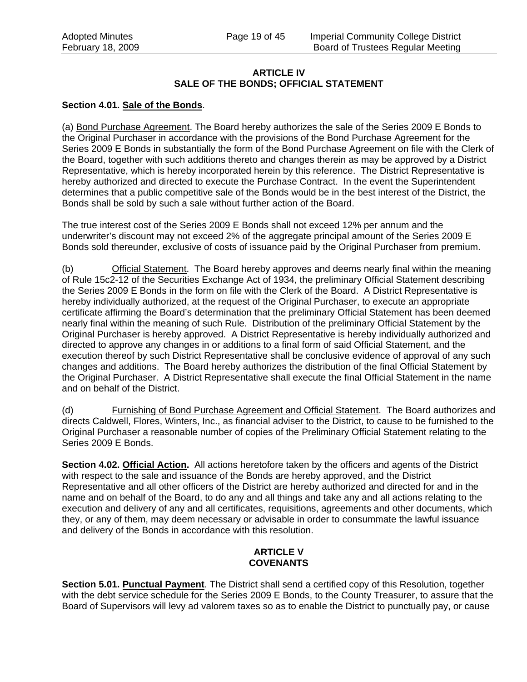#### **ARTICLE IV SALE OF THE BONDS; OFFICIAL STATEMENT**

## **Section 4.01. Sale of the Bonds**.

(a) Bond Purchase Agreement. The Board hereby authorizes the sale of the Series 2009 E Bonds to the Original Purchaser in accordance with the provisions of the Bond Purchase Agreement for the Series 2009 E Bonds in substantially the form of the Bond Purchase Agreement on file with the Clerk of the Board, together with such additions thereto and changes therein as may be approved by a District Representative, which is hereby incorporated herein by this reference. The District Representative is hereby authorized and directed to execute the Purchase Contract. In the event the Superintendent determines that a public competitive sale of the Bonds would be in the best interest of the District, the Bonds shall be sold by such a sale without further action of the Board.

The true interest cost of the Series 2009 E Bonds shall not exceed 12% per annum and the underwriter's discount may not exceed 2% of the aggregate principal amount of the Series 2009 E Bonds sold thereunder, exclusive of costs of issuance paid by the Original Purchaser from premium.

(b) Official Statement. The Board hereby approves and deems nearly final within the meaning of Rule 15c2-12 of the Securities Exchange Act of 1934, the preliminary Official Statement describing the Series 2009 E Bonds in the form on file with the Clerk of the Board. A District Representative is hereby individually authorized, at the request of the Original Purchaser, to execute an appropriate certificate affirming the Board's determination that the preliminary Official Statement has been deemed nearly final within the meaning of such Rule. Distribution of the preliminary Official Statement by the Original Purchaser is hereby approved. A District Representative is hereby individually authorized and directed to approve any changes in or additions to a final form of said Official Statement, and the execution thereof by such District Representative shall be conclusive evidence of approval of any such changes and additions. The Board hereby authorizes the distribution of the final Official Statement by the Original Purchaser. A District Representative shall execute the final Official Statement in the name and on behalf of the District.

(d) Furnishing of Bond Purchase Agreement and Official Statement. The Board authorizes and directs Caldwell, Flores, Winters, Inc., as financial adviser to the District, to cause to be furnished to the Original Purchaser a reasonable number of copies of the Preliminary Official Statement relating to the Series 2009 E Bonds.

**Section 4.02. Official Action.** All actions heretofore taken by the officers and agents of the District with respect to the sale and issuance of the Bonds are hereby approved, and the District Representative and all other officers of the District are hereby authorized and directed for and in the name and on behalf of the Board, to do any and all things and take any and all actions relating to the execution and delivery of any and all certificates, requisitions, agreements and other documents, which they, or any of them, may deem necessary or advisable in order to consummate the lawful issuance and delivery of the Bonds in accordance with this resolution.

## **ARTICLE V COVENANTS**

**Section 5.01. Punctual Payment**. The District shall send a certified copy of this Resolution, together with the debt service schedule for the Series 2009 E Bonds, to the County Treasurer, to assure that the Board of Supervisors will levy ad valorem taxes so as to enable the District to punctually pay, or cause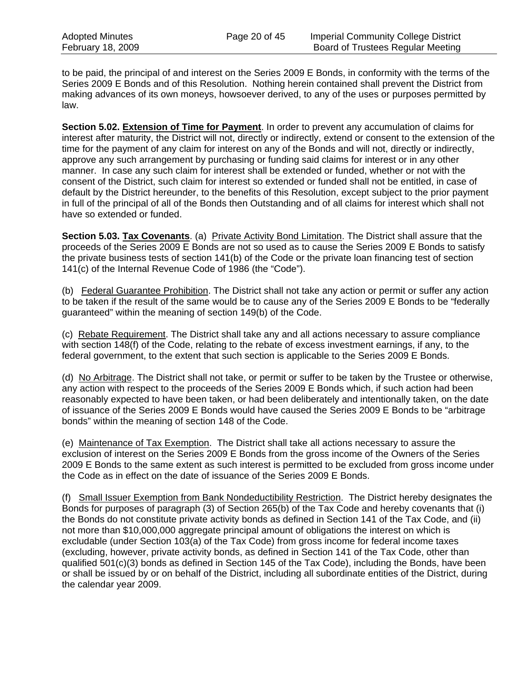to be paid, the principal of and interest on the Series 2009 E Bonds, in conformity with the terms of the Series 2009 E Bonds and of this Resolution. Nothing herein contained shall prevent the District from making advances of its own moneys, howsoever derived, to any of the uses or purposes permitted by law.

**Section 5.02. Extension of Time for Payment**. In order to prevent any accumulation of claims for interest after maturity, the District will not, directly or indirectly, extend or consent to the extension of the time for the payment of any claim for interest on any of the Bonds and will not, directly or indirectly, approve any such arrangement by purchasing or funding said claims for interest or in any other manner. In case any such claim for interest shall be extended or funded, whether or not with the consent of the District, such claim for interest so extended or funded shall not be entitled, in case of default by the District hereunder, to the benefits of this Resolution, except subject to the prior payment in full of the principal of all of the Bonds then Outstanding and of all claims for interest which shall not have so extended or funded.

**Section 5.03. Tax Covenants.** (a) Private Activity Bond Limitation. The District shall assure that the proceeds of the Series 2009 E Bonds are not so used as to cause the Series 2009 E Bonds to satisfy the private business tests of section 141(b) of the Code or the private loan financing test of section 141(c) of the Internal Revenue Code of 1986 (the "Code").

(b) Federal Guarantee Prohibition. The District shall not take any action or permit or suffer any action to be taken if the result of the same would be to cause any of the Series 2009 E Bonds to be "federally guaranteed" within the meaning of section 149(b) of the Code.

(c) Rebate Requirement. The District shall take any and all actions necessary to assure compliance with section 148(f) of the Code, relating to the rebate of excess investment earnings, if any, to the federal government, to the extent that such section is applicable to the Series 2009 E Bonds.

(d) No Arbitrage. The District shall not take, or permit or suffer to be taken by the Trustee or otherwise, any action with respect to the proceeds of the Series 2009 E Bonds which, if such action had been reasonably expected to have been taken, or had been deliberately and intentionally taken, on the date of issuance of the Series 2009 E Bonds would have caused the Series 2009 E Bonds to be "arbitrage bonds" within the meaning of section 148 of the Code.

(e) Maintenance of Tax Exemption. The District shall take all actions necessary to assure the exclusion of interest on the Series 2009 E Bonds from the gross income of the Owners of the Series 2009 E Bonds to the same extent as such interest is permitted to be excluded from gross income under the Code as in effect on the date of issuance of the Series 2009 E Bonds.

(f) Small Issuer Exemption from Bank Nondeductibility Restriction. The District hereby designates the Bonds for purposes of paragraph (3) of Section 265(b) of the Tax Code and hereby covenants that (i) the Bonds do not constitute private activity bonds as defined in Section 141 of the Tax Code, and (ii) not more than \$10,000,000 aggregate principal amount of obligations the interest on which is excludable (under Section 103(a) of the Tax Code) from gross income for federal income taxes (excluding, however, private activity bonds, as defined in Section 141 of the Tax Code, other than qualified 501(c)(3) bonds as defined in Section 145 of the Tax Code), including the Bonds, have been or shall be issued by or on behalf of the District, including all subordinate entities of the District, during the calendar year 2009.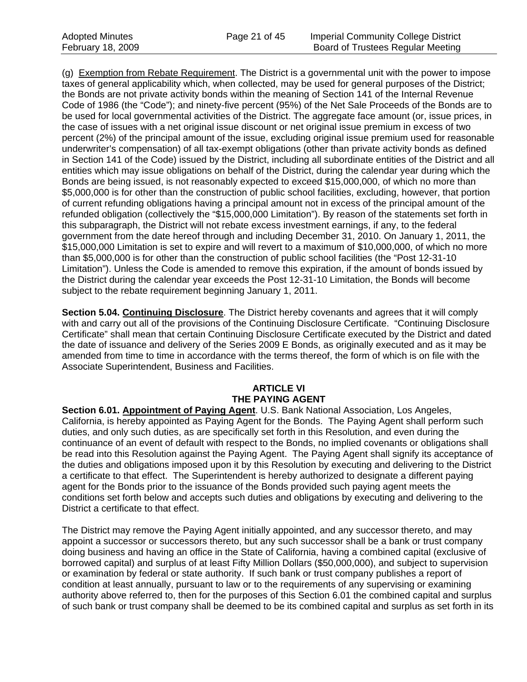(g) Exemption from Rebate Requirement. The District is a governmental unit with the power to impose taxes of general applicability which, when collected, may be used for general purposes of the District; the Bonds are not private activity bonds within the meaning of Section 141 of the Internal Revenue Code of 1986 (the "Code"); and ninety-five percent (95%) of the Net Sale Proceeds of the Bonds are to be used for local governmental activities of the District. The aggregate face amount (or, issue prices, in the case of issues with a net original issue discount or net original issue premium in excess of two percent (2%) of the principal amount of the issue, excluding original issue premium used for reasonable underwriter's compensation) of all tax-exempt obligations (other than private activity bonds as defined in Section 141 of the Code) issued by the District, including all subordinate entities of the District and all entities which may issue obligations on behalf of the District, during the calendar year during which the Bonds are being issued, is not reasonably expected to exceed \$15,000,000, of which no more than \$5,000,000 is for other than the construction of public school facilities, excluding, however, that portion of current refunding obligations having a principal amount not in excess of the principal amount of the refunded obligation (collectively the "\$15,000,000 Limitation"). By reason of the statements set forth in this subparagraph, the District will not rebate excess investment earnings, if any, to the federal government from the date hereof through and including December 31, 2010. On January 1, 2011, the \$15,000,000 Limitation is set to expire and will revert to a maximum of \$10,000,000, of which no more than \$5,000,000 is for other than the construction of public school facilities (the "Post 12-31-10 Limitation"). Unless the Code is amended to remove this expiration, if the amount of bonds issued by the District during the calendar year exceeds the Post 12-31-10 Limitation, the Bonds will become subject to the rebate requirement beginning January 1, 2011.

**Section 5.04. Continuing Disclosure**. The District hereby covenants and agrees that it will comply with and carry out all of the provisions of the Continuing Disclosure Certificate. "Continuing Disclosure Certificate" shall mean that certain Continuing Disclosure Certificate executed by the District and dated the date of issuance and delivery of the Series 2009 E Bonds, as originally executed and as it may be amended from time to time in accordance with the terms thereof, the form of which is on file with the Associate Superintendent, Business and Facilities.

## **ARTICLE VI THE PAYING AGENT**

**Section 6.01. Appointment of Paying Agent**. U.S. Bank National Association, Los Angeles, California, is hereby appointed as Paying Agent for the Bonds. The Paying Agent shall perform such duties, and only such duties, as are specifically set forth in this Resolution, and even during the continuance of an event of default with respect to the Bonds, no implied covenants or obligations shall be read into this Resolution against the Paying Agent. The Paying Agent shall signify its acceptance of the duties and obligations imposed upon it by this Resolution by executing and delivering to the District a certificate to that effect. The Superintendent is hereby authorized to designate a different paying agent for the Bonds prior to the issuance of the Bonds provided such paying agent meets the conditions set forth below and accepts such duties and obligations by executing and delivering to the District a certificate to that effect.

The District may remove the Paying Agent initially appointed, and any successor thereto, and may appoint a successor or successors thereto, but any such successor shall be a bank or trust company doing business and having an office in the State of California, having a combined capital (exclusive of borrowed capital) and surplus of at least Fifty Million Dollars (\$50,000,000), and subject to supervision or examination by federal or state authority. If such bank or trust company publishes a report of condition at least annually, pursuant to law or to the requirements of any supervising or examining authority above referred to, then for the purposes of this Section 6.01 the combined capital and surplus of such bank or trust company shall be deemed to be its combined capital and surplus as set forth in its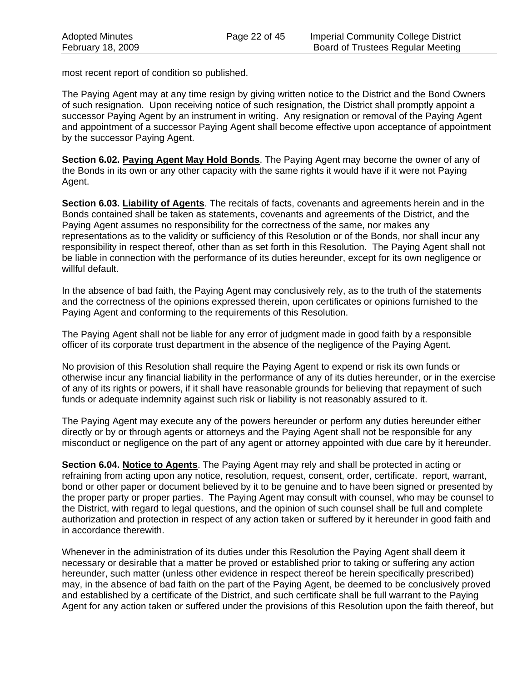most recent report of condition so published.

The Paying Agent may at any time resign by giving written notice to the District and the Bond Owners of such resignation. Upon receiving notice of such resignation, the District shall promptly appoint a successor Paying Agent by an instrument in writing. Any resignation or removal of the Paying Agent and appointment of a successor Paying Agent shall become effective upon acceptance of appointment by the successor Paying Agent.

**Section 6.02. Paying Agent May Hold Bonds**. The Paying Agent may become the owner of any of the Bonds in its own or any other capacity with the same rights it would have if it were not Paying Agent.

**Section 6.03. Liability of Agents**. The recitals of facts, covenants and agreements herein and in the Bonds contained shall be taken as statements, covenants and agreements of the District, and the Paying Agent assumes no responsibility for the correctness of the same, nor makes any representations as to the validity or sufficiency of this Resolution or of the Bonds, nor shall incur any responsibility in respect thereof, other than as set forth in this Resolution. The Paying Agent shall not be liable in connection with the performance of its duties hereunder, except for its own negligence or willful default.

In the absence of bad faith, the Paying Agent may conclusively rely, as to the truth of the statements and the correctness of the opinions expressed therein, upon certificates or opinions furnished to the Paying Agent and conforming to the requirements of this Resolution.

The Paying Agent shall not be liable for any error of judgment made in good faith by a responsible officer of its corporate trust department in the absence of the negligence of the Paying Agent.

No provision of this Resolution shall require the Paying Agent to expend or risk its own funds or otherwise incur any financial liability in the performance of any of its duties hereunder, or in the exercise of any of its rights or powers, if it shall have reasonable grounds for believing that repayment of such funds or adequate indemnity against such risk or liability is not reasonably assured to it.

The Paying Agent may execute any of the powers hereunder or perform any duties hereunder either directly or by or through agents or attorneys and the Paying Agent shall not be responsible for any misconduct or negligence on the part of any agent or attorney appointed with due care by it hereunder.

**Section 6.04. Notice to Agents**. The Paying Agent may rely and shall be protected in acting or refraining from acting upon any notice, resolution, request, consent, order, certificate. report, warrant, bond or other paper or document believed by it to be genuine and to have been signed or presented by the proper party or proper parties. The Paying Agent may consult with counsel, who may be counsel to the District, with regard to legal questions, and the opinion of such counsel shall be full and complete authorization and protection in respect of any action taken or suffered by it hereunder in good faith and in accordance therewith.

Whenever in the administration of its duties under this Resolution the Paying Agent shall deem it necessary or desirable that a matter be proved or established prior to taking or suffering any action hereunder, such matter (unless other evidence in respect thereof be herein specifically prescribed) may, in the absence of bad faith on the part of the Paying Agent, be deemed to be conclusively proved and established by a certificate of the District, and such certificate shall be full warrant to the Paying Agent for any action taken or suffered under the provisions of this Resolution upon the faith thereof, but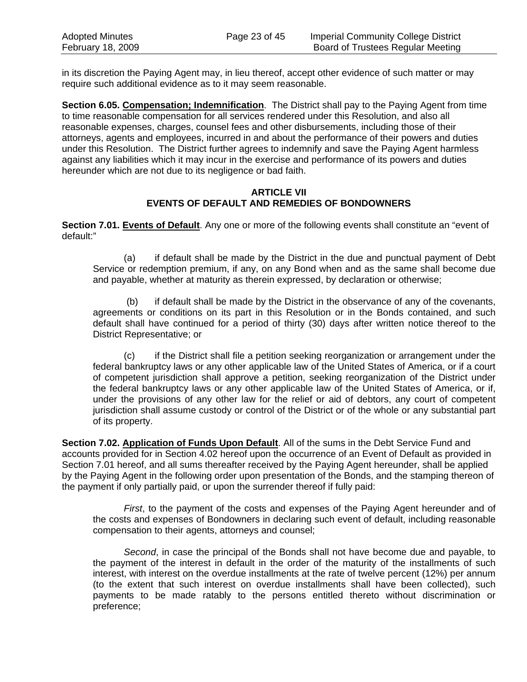in its discretion the Paying Agent may, in lieu thereof, accept other evidence of such matter or may require such additional evidence as to it may seem reasonable.

**Section 6.05. Compensation; Indemnification**. The District shall pay to the Paying Agent from time to time reasonable compensation for all services rendered under this Resolution, and also all reasonable expenses, charges, counsel fees and other disbursements, including those of their attorneys, agents and employees, incurred in and about the performance of their powers and duties under this Resolution. The District further agrees to indemnify and save the Paying Agent harmless against any liabilities which it may incur in the exercise and performance of its powers and duties hereunder which are not due to its negligence or bad faith.

#### **ARTICLE VII EVENTS OF DEFAULT AND REMEDIES OF BONDOWNERS**

**Section 7.01. Events of Default**. Any one or more of the following events shall constitute an "event of default:"

(a) if default shall be made by the District in the due and punctual payment of Debt Service or redemption premium, if any, on any Bond when and as the same shall become due and payable, whether at maturity as therein expressed, by declaration or otherwise;

 (b) if default shall be made by the District in the observance of any of the covenants, agreements or conditions on its part in this Resolution or in the Bonds contained, and such default shall have continued for a period of thirty (30) days after written notice thereof to the District Representative; or

(c) if the District shall file a petition seeking reorganization or arrangement under the federal bankruptcy laws or any other applicable law of the United States of America, or if a court of competent jurisdiction shall approve a petition, seeking reorganization of the District under the federal bankruptcy laws or any other applicable law of the United States of America, or if, under the provisions of any other law for the relief or aid of debtors, any court of competent jurisdiction shall assume custody or control of the District or of the whole or any substantial part of its property.

**Section 7.02. Application of Funds Upon Default**. All of the sums in the Debt Service Fund and accounts provided for in Section 4.02 hereof upon the occurrence of an Event of Default as provided in Section 7.01 hereof, and all sums thereafter received by the Paying Agent hereunder, shall be applied by the Paying Agent in the following order upon presentation of the Bonds, and the stamping thereon of the payment if only partially paid, or upon the surrender thereof if fully paid:

*First*, to the payment of the costs and expenses of the Paying Agent hereunder and of the costs and expenses of Bondowners in declaring such event of default, including reasonable compensation to their agents, attorneys and counsel;

*Second*, in case the principal of the Bonds shall not have become due and payable, to the payment of the interest in default in the order of the maturity of the installments of such interest, with interest on the overdue installments at the rate of twelve percent (12%) per annum (to the extent that such interest on overdue installments shall have been collected), such payments to be made ratably to the persons entitled thereto without discrimination or preference;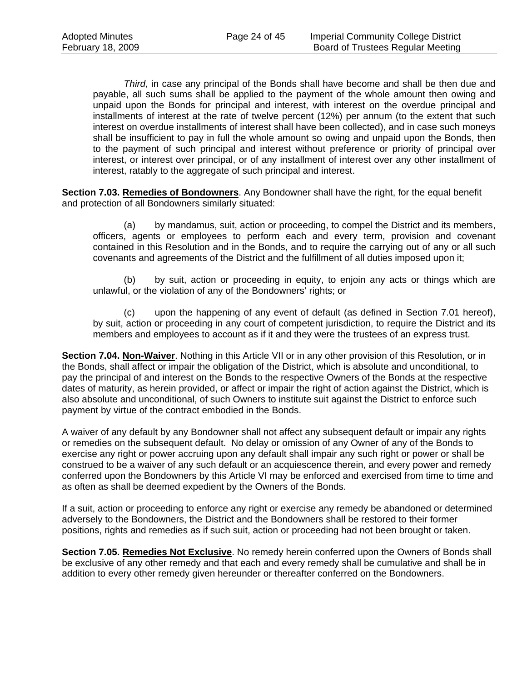*Third*, in case any principal of the Bonds shall have become and shall be then due and payable, all such sums shall be applied to the payment of the whole amount then owing and unpaid upon the Bonds for principal and interest, with interest on the overdue principal and installments of interest at the rate of twelve percent (12%) per annum (to the extent that such interest on overdue installments of interest shall have been collected), and in case such moneys shall be insufficient to pay in full the whole amount so owing and unpaid upon the Bonds, then to the payment of such principal and interest without preference or priority of principal over interest, or interest over principal, or of any installment of interest over any other installment of interest, ratably to the aggregate of such principal and interest.

**Section 7.03. Remedies of Bondowners**. Any Bondowner shall have the right, for the equal benefit and protection of all Bondowners similarly situated:

(a) by mandamus, suit, action or proceeding, to compel the District and its members, officers, agents or employees to perform each and every term, provision and covenant contained in this Resolution and in the Bonds, and to require the carrying out of any or all such covenants and agreements of the District and the fulfillment of all duties imposed upon it;

(b) by suit, action or proceeding in equity, to enjoin any acts or things which are unlawful, or the violation of any of the Bondowners' rights; or

(c) upon the happening of any event of default (as defined in Section 7.01 hereof), by suit, action or proceeding in any court of competent jurisdiction, to require the District and its members and employees to account as if it and they were the trustees of an express trust.

**Section 7.04. Non-Waiver**. Nothing in this Article VII or in any other provision of this Resolution, or in the Bonds, shall affect or impair the obligation of the District, which is absolute and unconditional, to pay the principal of and interest on the Bonds to the respective Owners of the Bonds at the respective dates of maturity, as herein provided, or affect or impair the right of action against the District, which is also absolute and unconditional, of such Owners to institute suit against the District to enforce such payment by virtue of the contract embodied in the Bonds.

A waiver of any default by any Bondowner shall not affect any subsequent default or impair any rights or remedies on the subsequent default. No delay or omission of any Owner of any of the Bonds to exercise any right or power accruing upon any default shall impair any such right or power or shall be construed to be a waiver of any such default or an acquiescence therein, and every power and remedy conferred upon the Bondowners by this Article VI may be enforced and exercised from time to time and as often as shall be deemed expedient by the Owners of the Bonds.

If a suit, action or proceeding to enforce any right or exercise any remedy be abandoned or determined adversely to the Bondowners, the District and the Bondowners shall be restored to their former positions, rights and remedies as if such suit, action or proceeding had not been brought or taken.

**Section 7.05. Remedies Not Exclusive**. No remedy herein conferred upon the Owners of Bonds shall be exclusive of any other remedy and that each and every remedy shall be cumulative and shall be in addition to every other remedy given hereunder or thereafter conferred on the Bondowners.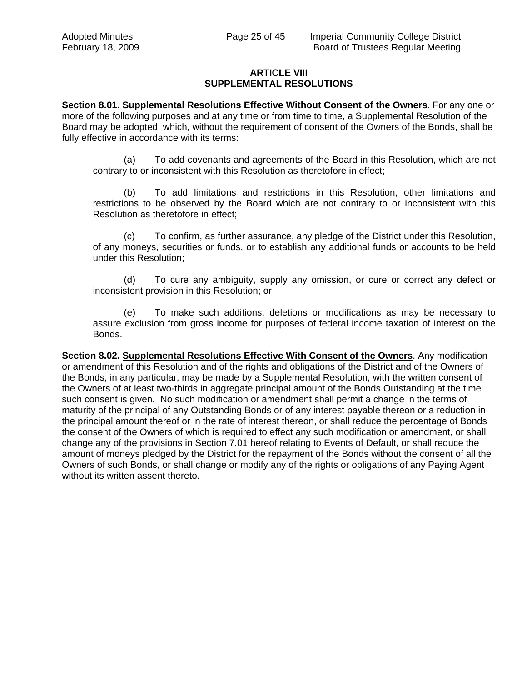## **ARTICLE VIII SUPPLEMENTAL RESOLUTIONS**

**Section 8.01. Supplemental Resolutions Effective Without Consent of the Owners**. For any one or more of the following purposes and at any time or from time to time, a Supplemental Resolution of the Board may be adopted, which, without the requirement of consent of the Owners of the Bonds, shall be fully effective in accordance with its terms:

(a) To add covenants and agreements of the Board in this Resolution, which are not contrary to or inconsistent with this Resolution as theretofore in effect;

(b) To add limitations and restrictions in this Resolution, other limitations and restrictions to be observed by the Board which are not contrary to or inconsistent with this Resolution as theretofore in effect;

(c) To confirm, as further assurance, any pledge of the District under this Resolution, of any moneys, securities or funds, or to establish any additional funds or accounts to be held under this Resolution;

(d) To cure any ambiguity, supply any omission, or cure or correct any defect or inconsistent provision in this Resolution; or

(e) To make such additions, deletions or modifications as may be necessary to assure exclusion from gross income for purposes of federal income taxation of interest on the Bonds.

**Section 8.02. Supplemental Resolutions Effective With Consent of the Owners**. Any modification or amendment of this Resolution and of the rights and obligations of the District and of the Owners of the Bonds, in any particular, may be made by a Supplemental Resolution, with the written consent of the Owners of at least two-thirds in aggregate principal amount of the Bonds Outstanding at the time such consent is given. No such modification or amendment shall permit a change in the terms of maturity of the principal of any Outstanding Bonds or of any interest payable thereon or a reduction in the principal amount thereof or in the rate of interest thereon, or shall reduce the percentage of Bonds the consent of the Owners of which is required to effect any such modification or amendment, or shall change any of the provisions in Section 7.01 hereof relating to Events of Default, or shall reduce the amount of moneys pledged by the District for the repayment of the Bonds without the consent of all the Owners of such Bonds, or shall change or modify any of the rights or obligations of any Paying Agent without its written assent thereto.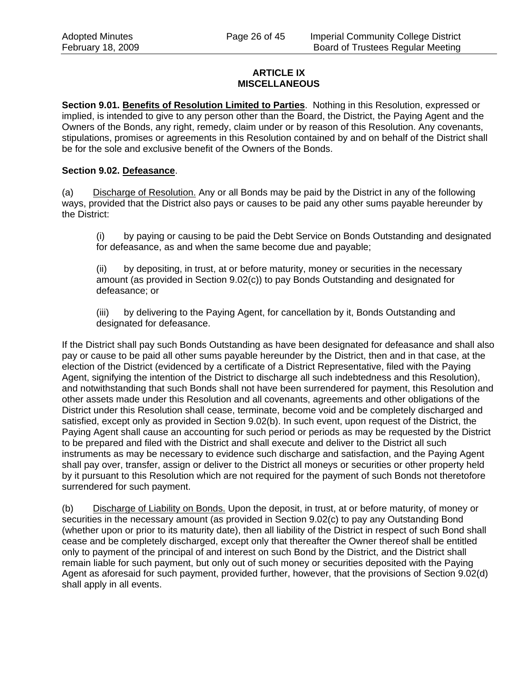#### **ARTICLE IX MISCELLANEOUS**

**Section 9.01. Benefits of Resolution Limited to Parties**. Nothing in this Resolution, expressed or implied, is intended to give to any person other than the Board, the District, the Paying Agent and the Owners of the Bonds, any right, remedy, claim under or by reason of this Resolution. Any covenants, stipulations, promises or agreements in this Resolution contained by and on behalf of the District shall be for the sole and exclusive benefit of the Owners of the Bonds.

#### **Section 9.02. Defeasance**.

(a) Discharge of Resolution. Any or all Bonds may be paid by the District in any of the following ways, provided that the District also pays or causes to be paid any other sums payable hereunder by the District:

(i) by paying or causing to be paid the Debt Service on Bonds Outstanding and designated for defeasance, as and when the same become due and payable;

(ii) by depositing, in trust, at or before maturity, money or securities in the necessary amount (as provided in Section 9.02(c)) to pay Bonds Outstanding and designated for defeasance; or

(iii) by delivering to the Paying Agent, for cancellation by it, Bonds Outstanding and designated for defeasance.

If the District shall pay such Bonds Outstanding as have been designated for defeasance and shall also pay or cause to be paid all other sums payable hereunder by the District, then and in that case, at the election of the District (evidenced by a certificate of a District Representative, filed with the Paying Agent, signifying the intention of the District to discharge all such indebtedness and this Resolution), and notwithstanding that such Bonds shall not have been surrendered for payment, this Resolution and other assets made under this Resolution and all covenants, agreements and other obligations of the District under this Resolution shall cease, terminate, become void and be completely discharged and satisfied, except only as provided in Section 9.02(b). In such event, upon request of the District, the Paying Agent shall cause an accounting for such period or periods as may be requested by the District to be prepared and filed with the District and shall execute and deliver to the District all such instruments as may be necessary to evidence such discharge and satisfaction, and the Paying Agent shall pay over, transfer, assign or deliver to the District all moneys or securities or other property held by it pursuant to this Resolution which are not required for the payment of such Bonds not theretofore surrendered for such payment.

(b) Discharge of Liability on Bonds. Upon the deposit, in trust, at or before maturity, of money or securities in the necessary amount (as provided in Section 9.02(c) to pay any Outstanding Bond (whether upon or prior to its maturity date), then all liability of the District in respect of such Bond shall cease and be completely discharged, except only that thereafter the Owner thereof shall be entitled only to payment of the principal of and interest on such Bond by the District, and the District shall remain liable for such payment, but only out of such money or securities deposited with the Paying Agent as aforesaid for such payment, provided further, however, that the provisions of Section 9.02(d) shall apply in all events.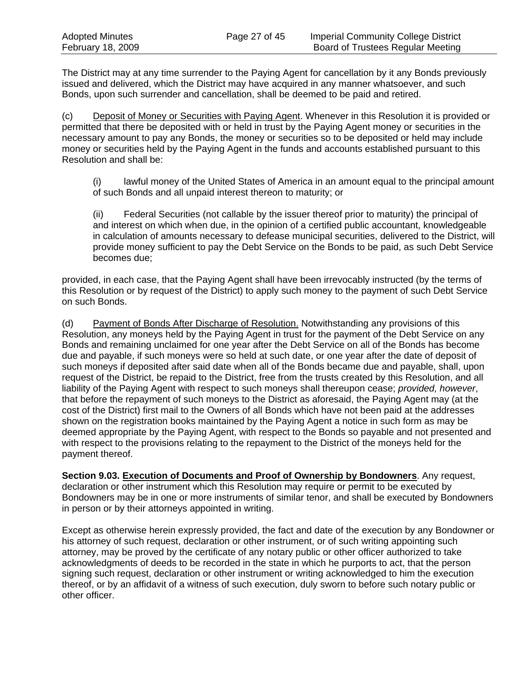The District may at any time surrender to the Paying Agent for cancellation by it any Bonds previously issued and delivered, which the District may have acquired in any manner whatsoever, and such Bonds, upon such surrender and cancellation, shall be deemed to be paid and retired.

(c) Deposit of Money or Securities with Paying Agent. Whenever in this Resolution it is provided or permitted that there be deposited with or held in trust by the Paying Agent money or securities in the necessary amount to pay any Bonds, the money or securities so to be deposited or held may include money or securities held by the Paying Agent in the funds and accounts established pursuant to this Resolution and shall be:

(i) lawful money of the United States of America in an amount equal to the principal amount of such Bonds and all unpaid interest thereon to maturity; or

(ii) Federal Securities (not callable by the issuer thereof prior to maturity) the principal of and interest on which when due, in the opinion of a certified public accountant, knowledgeable in calculation of amounts necessary to defease municipal securities, delivered to the District, will provide money sufficient to pay the Debt Service on the Bonds to be paid, as such Debt Service becomes due;

provided, in each case, that the Paying Agent shall have been irrevocably instructed (by the terms of this Resolution or by request of the District) to apply such money to the payment of such Debt Service on such Bonds.

(d) Payment of Bonds After Discharge of Resolution. Notwithstanding any provisions of this Resolution, any moneys held by the Paying Agent in trust for the payment of the Debt Service on any Bonds and remaining unclaimed for one year after the Debt Service on all of the Bonds has become due and payable, if such moneys were so held at such date, or one year after the date of deposit of such moneys if deposited after said date when all of the Bonds became due and payable, shall, upon request of the District, be repaid to the District, free from the trusts created by this Resolution, and all liability of the Paying Agent with respect to such moneys shall thereupon cease; *provided, however*, that before the repayment of such moneys to the District as aforesaid, the Paying Agent may (at the cost of the District) first mail to the Owners of all Bonds which have not been paid at the addresses shown on the registration books maintained by the Paying Agent a notice in such form as may be deemed appropriate by the Paying Agent, with respect to the Bonds so payable and not presented and with respect to the provisions relating to the repayment to the District of the moneys held for the payment thereof.

**Section 9.03. Execution of Documents and Proof of Ownership by Bondowners**. Any request, declaration or other instrument which this Resolution may require or permit to be executed by Bondowners may be in one or more instruments of similar tenor, and shall be executed by Bondowners in person or by their attorneys appointed in writing.

Except as otherwise herein expressly provided, the fact and date of the execution by any Bondowner or his attorney of such request, declaration or other instrument, or of such writing appointing such attorney, may be proved by the certificate of any notary public or other officer authorized to take acknowledgments of deeds to be recorded in the state in which he purports to act, that the person signing such request, declaration or other instrument or writing acknowledged to him the execution thereof, or by an affidavit of a witness of such execution, duly sworn to before such notary public or other officer.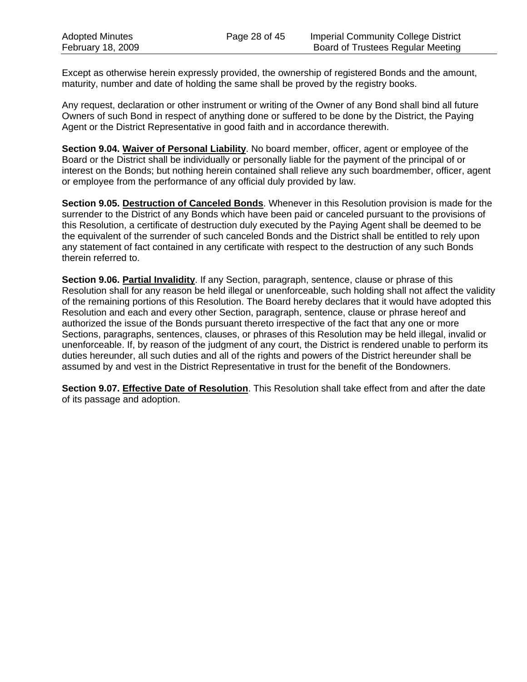Except as otherwise herein expressly provided, the ownership of registered Bonds and the amount, maturity, number and date of holding the same shall be proved by the registry books.

Any request, declaration or other instrument or writing of the Owner of any Bond shall bind all future Owners of such Bond in respect of anything done or suffered to be done by the District, the Paying Agent or the District Representative in good faith and in accordance therewith.

**Section 9.04. Waiver of Personal Liability**. No board member, officer, agent or employee of the Board or the District shall be individually or personally liable for the payment of the principal of or interest on the Bonds; but nothing herein contained shall relieve any such boardmember, officer, agent or employee from the performance of any official duly provided by law.

**Section 9.05. Destruction of Canceled Bonds**. Whenever in this Resolution provision is made for the surrender to the District of any Bonds which have been paid or canceled pursuant to the provisions of this Resolution, a certificate of destruction duly executed by the Paying Agent shall be deemed to be the equivalent of the surrender of such canceled Bonds and the District shall be entitled to rely upon any statement of fact contained in any certificate with respect to the destruction of any such Bonds therein referred to.

**Section 9.06. Partial Invalidity**. If any Section, paragraph, sentence, clause or phrase of this Resolution shall for any reason be held illegal or unenforceable, such holding shall not affect the validity of the remaining portions of this Resolution. The Board hereby declares that it would have adopted this Resolution and each and every other Section, paragraph, sentence, clause or phrase hereof and authorized the issue of the Bonds pursuant thereto irrespective of the fact that any one or more Sections, paragraphs, sentences, clauses, or phrases of this Resolution may be held illegal, invalid or unenforceable. If, by reason of the judgment of any court, the District is rendered unable to perform its duties hereunder, all such duties and all of the rights and powers of the District hereunder shall be assumed by and vest in the District Representative in trust for the benefit of the Bondowners.

**Section 9.07. Effective Date of Resolution**. This Resolution shall take effect from and after the date of its passage and adoption.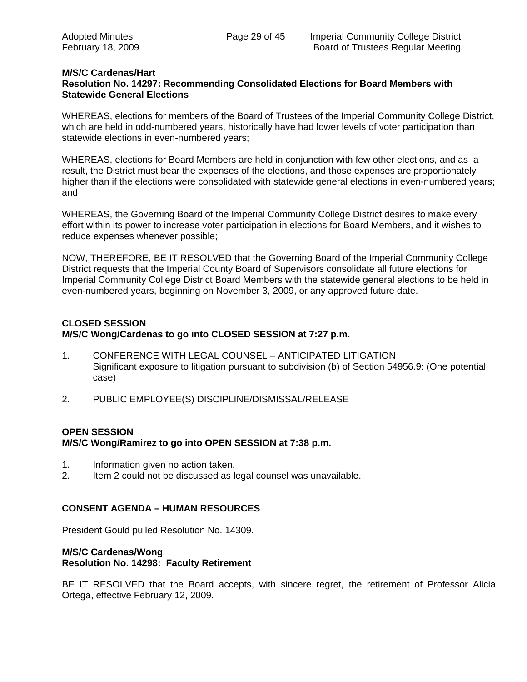#### **M/S/C Cardenas/Hart**

#### **Resolution No. 14297: Recommending Consolidated Elections for Board Members with Statewide General Elections**

WHEREAS, elections for members of the Board of Trustees of the Imperial Community College District, which are held in odd-numbered years, historically have had lower levels of voter participation than statewide elections in even-numbered years;

WHEREAS, elections for Board Members are held in conjunction with few other elections, and as a result, the District must bear the expenses of the elections, and those expenses are proportionately higher than if the elections were consolidated with statewide general elections in even-numbered years; and

WHEREAS, the Governing Board of the Imperial Community College District desires to make every effort within its power to increase voter participation in elections for Board Members, and it wishes to reduce expenses whenever possible;

NOW, THEREFORE, BE IT RESOLVED that the Governing Board of the Imperial Community College District requests that the Imperial County Board of Supervisors consolidate all future elections for Imperial Community College District Board Members with the statewide general elections to be held in even-numbered years, beginning on November 3, 2009, or any approved future date.

## **CLOSED SESSION M/S/C Wong/Cardenas to go into CLOSED SESSION at 7:27 p.m.**

- 1. CONFERENCE WITH LEGAL COUNSEL ANTICIPATED LITIGATION Significant exposure to litigation pursuant to subdivision (b) of Section 54956.9: (One potential case)
- 2. PUBLIC EMPLOYEE(S) DISCIPLINE/DISMISSAL/RELEASE

### **OPEN SESSION**

#### **M/S/C Wong/Ramirez to go into OPEN SESSION at 7:38 p.m.**

- 1. Information given no action taken.
- 2. Item 2 could not be discussed as legal counsel was unavailable.

#### **CONSENT AGENDA – HUMAN RESOURCES**

President Gould pulled Resolution No. 14309.

#### **M/S/C Cardenas/Wong Resolution No. 14298: Faculty Retirement**

BE IT RESOLVED that the Board accepts, with sincere regret, the retirement of Professor Alicia Ortega, effective February 12, 2009.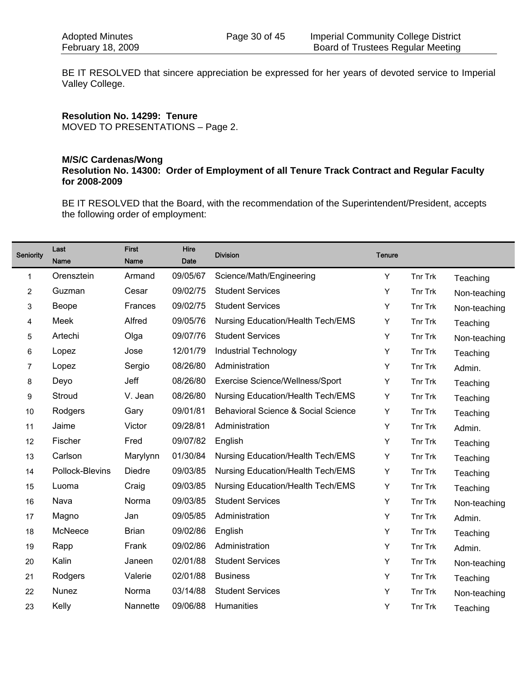BE IT RESOLVED that sincere appreciation be expressed for her years of devoted service to Imperial Valley College.

**Resolution No. 14299: Tenure**  MOVED TO PRESENTATIONS – Page 2.

#### **M/S/C Cardenas/Wong Resolution No. 14300: Order of Employment of all Tenure Track Contract and Regular Faculty for 2008-2009**

BE IT RESOLVED that the Board, with the recommendation of the Superintendent/President, accepts the following order of employment:

| Seniority | Last<br><b>Name</b> | <b>First</b><br><b>Name</b> | Hire<br><b>Date</b> | <b>Division</b>                          | <b>Tenure</b> |         |              |
|-----------|---------------------|-----------------------------|---------------------|------------------------------------------|---------------|---------|--------------|
| 1         | Orensztein          | Armand                      | 09/05/67            | Science/Math/Engineering                 | Y             | Tnr Trk | Teaching     |
| 2         | Guzman              | Cesar                       | 09/02/75            | <b>Student Services</b>                  | Y             | Tnr Trk | Non-teaching |
| 3         | Beope               | Frances                     | 09/02/75            | <b>Student Services</b>                  | Y             | Tnr Trk | Non-teaching |
| 4         | Meek                | Alfred                      | 09/05/76            | <b>Nursing Education/Health Tech/EMS</b> | Υ             | Tnr Trk | Teaching     |
| 5         | Artechi             | Olga                        | 09/07/76            | <b>Student Services</b>                  | Y             | Tnr Trk | Non-teaching |
| 6         | Lopez               | Jose                        | 12/01/79            | <b>Industrial Technology</b>             | Υ             | Tnr Trk | Teaching     |
| 7         | Lopez               | Sergio                      | 08/26/80            | Administration                           | Y             | Tnr Trk | Admin.       |
| 8         | Deyo                | Jeff                        | 08/26/80            | Exercise Science/Wellness/Sport          | Υ             | Tnr Trk | Teaching     |
| 9         | Stroud              | V. Jean                     | 08/26/80            | <b>Nursing Education/Health Tech/EMS</b> | Υ             | Tnr Trk | Teaching     |
| 10        | Rodgers             | Gary                        | 09/01/81            | Behavioral Science & Social Science      | Υ             | Tnr Trk | Teaching     |
| 11        | Jaime               | Victor                      | 09/28/81            | Administration                           | Y             | Tnr Trk | Admin.       |
| 12        | Fischer             | Fred                        | 09/07/82            | English                                  | Υ             | Tnr Trk | Teaching     |
| 13        | Carlson             | Marylynn                    | 01/30/84            | Nursing Education/Health Tech/EMS        | Υ             | Tnr Trk | Teaching     |
| 14        | Pollock-Blevins     | <b>Diedre</b>               | 09/03/85            | <b>Nursing Education/Health Tech/EMS</b> | Υ             | Tnr Trk | Teaching     |
| 15        | Luoma               | Craig                       | 09/03/85            | <b>Nursing Education/Health Tech/EMS</b> | Υ             | Tnr Trk | Teaching     |
| 16        | Nava                | Norma                       | 09/03/85            | <b>Student Services</b>                  | Y             | Tnr Trk | Non-teaching |
| 17        | Magno               | Jan                         | 09/05/85            | Administration                           | Υ             | Tnr Trk | Admin.       |
| 18        | McNeece             | <b>Brian</b>                | 09/02/86            | English                                  | Υ             | Tnr Trk | Teaching     |
| 19        | Rapp                | Frank                       | 09/02/86            | Administration                           | Y             | Tnr Trk | Admin.       |
| 20        | Kalin               | Janeen                      | 02/01/88            | <b>Student Services</b>                  | Y             | Tnr Trk | Non-teaching |
| 21        | Rodgers             | Valerie                     | 02/01/88            | <b>Business</b>                          | Υ             | Tnr Trk | Teaching     |
| 22        | Nunez               | Norma                       | 03/14/88            | <b>Student Services</b>                  | Y             | Tnr Trk | Non-teaching |
| 23        | Kelly               | Nannette                    | 09/06/88            | Humanities                               | Υ             | Tnr Trk | Teaching     |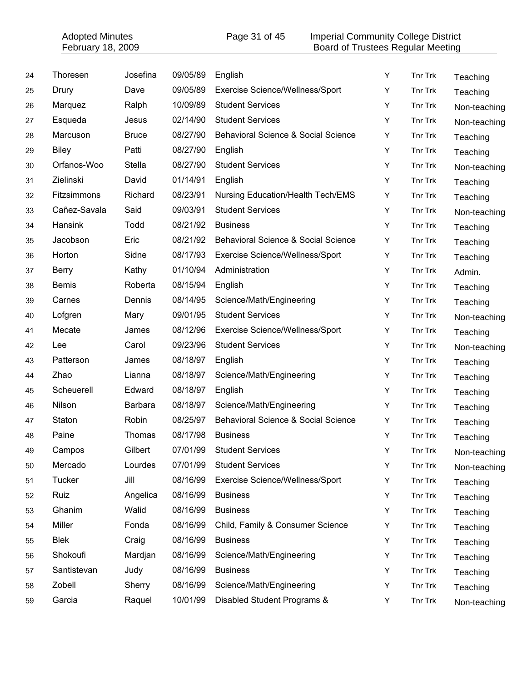|    | <b>Adopted Minutes</b><br>February 18, 2009 |              |          | Page 31 of 45                                | <b>Imperial Community College District</b><br>Board of Trustees Regular Meeting |         |              |
|----|---------------------------------------------|--------------|----------|----------------------------------------------|---------------------------------------------------------------------------------|---------|--------------|
| 24 | Thoresen                                    | Josefina     | 09/05/89 | English                                      | Y                                                                               | Tnr Trk | Teaching     |
| 25 | Drury                                       | Dave         | 09/05/89 | Exercise Science/Wellness/Sport              | Y                                                                               | Tnr Trk | Teaching     |
| 26 | Marquez                                     | Ralph        | 10/09/89 | <b>Student Services</b>                      | Υ                                                                               | Tnr Trk | Non-teaching |
| 27 | Esqueda                                     | Jesus        | 02/14/90 | <b>Student Services</b>                      | Υ                                                                               | Tnr Trk | Non-teaching |
| 28 | Marcuson                                    | <b>Bruce</b> | 08/27/90 | Behavioral Science & Social Science          | Υ                                                                               | Tnr Trk | Teaching     |
| 29 | <b>Biley</b>                                | Patti        | 08/27/90 | English                                      | Υ                                                                               | Tnr Trk | Teaching     |
| 30 | Orfanos-Woo                                 | Stella       | 08/27/90 | <b>Student Services</b>                      | Υ                                                                               | Tnr Trk | Non-teaching |
| 31 | Zielinski                                   | David        | 01/14/91 | English                                      | Υ                                                                               | Tnr Trk | Teaching     |
| 32 | Fitzsimmons                                 | Richard      | 08/23/91 | <b>Nursing Education/Health Tech/EMS</b>     | Y                                                                               | Tnr Trk | Teaching     |
| 33 | Cañez-Savala                                | Said         | 09/03/91 | <b>Student Services</b>                      | Υ                                                                               | Tnr Trk | Non-teaching |
| 34 | Hansink                                     | Todd         | 08/21/92 | <b>Business</b>                              | Υ                                                                               | Tnr Trk | Teaching     |
| 35 | Jacobson                                    | Eric         | 08/21/92 | Behavioral Science & Social Science          | Υ                                                                               | Tnr Trk | Teaching     |
| 36 | Horton                                      | Sidne        | 08/17/93 | Exercise Science/Wellness/Sport              | Υ                                                                               | Tnr Trk | Teaching     |
| 37 | <b>Berry</b>                                | Kathy        | 01/10/94 | Administration                               | Y                                                                               | Tnr Trk | Admin.       |
| 38 | <b>Bemis</b>                                | Roberta      | 08/15/94 | English                                      | Υ                                                                               | Tnr Trk | Teaching     |
| 39 | Carnes                                      | Dennis       | 08/14/95 | Science/Math/Engineering                     | Υ                                                                               | Tnr Trk | Teaching     |
| 40 | Lofgren                                     | Mary         | 09/01/95 | <b>Student Services</b>                      | Υ                                                                               | Tnr Trk | Non-teaching |
| 41 | Mecate                                      | James        | 08/12/96 | Exercise Science/Wellness/Sport              | Υ                                                                               | Tnr Trk | Teaching     |
| 42 | Lee                                         | Carol        | 09/23/96 | <b>Student Services</b>                      | Y                                                                               | Tnr Trk | Non-teaching |
| 43 | Patterson                                   | James        | 08/18/97 | English                                      | Υ                                                                               | Tnr Trk | Teaching     |
| 44 | Zhao                                        | Lianna       | 08/18/97 | Science/Math/Engineering                     | Υ                                                                               | Tnr Trk | Teaching     |
| 45 | Scheuerell                                  | Edward       | 08/18/97 | English                                      | Υ                                                                               | Tnr Trk | Teaching     |
| 46 | Nilson                                      | Barbara      | 08/18/97 | Science/Math/Engineering                     | Υ                                                                               | Tnr Trk | Teaching     |
| 47 | Staton                                      | Robin        |          | 08/25/97 Behavioral Science & Social Science | Y                                                                               | Tnr Trk | Teaching     |
| 48 | Paine                                       | Thomas       | 08/17/98 | <b>Business</b>                              | Υ                                                                               | Tnr Trk | Teaching     |
| 49 | Campos                                      | Gilbert      | 07/01/99 | <b>Student Services</b>                      | Υ                                                                               | Tnr Trk | Non-teaching |
| 50 | Mercado                                     | Lourdes      | 07/01/99 | <b>Student Services</b>                      | Υ                                                                               | Tnr Trk | Non-teaching |
| 51 | Tucker                                      | Jill         | 08/16/99 | Exercise Science/Wellness/Sport              | Υ                                                                               | Tnr Trk | Teaching     |
| 52 | Ruiz                                        | Angelica     | 08/16/99 | <b>Business</b>                              | Υ                                                                               | Tnr Trk | Teaching     |
| 53 | Ghanim                                      | Walid        | 08/16/99 | <b>Business</b>                              | Y                                                                               | Tnr Trk | Teaching     |
| 54 | Miller                                      | Fonda        | 08/16/99 | Child, Family & Consumer Science             | Υ                                                                               | Tnr Trk | Teaching     |
| 55 | <b>Blek</b>                                 | Craig        | 08/16/99 | <b>Business</b>                              | Υ                                                                               | Tnr Trk | Teaching     |
| 56 | Shokoufi                                    | Mardjan      | 08/16/99 | Science/Math/Engineering                     | Υ                                                                               | Tnr Trk | Teaching     |
| 57 | Santistevan                                 | Judy         | 08/16/99 | <b>Business</b>                              | Υ                                                                               | Tnr Trk | Teaching     |
| 58 | Zobell                                      | Sherry       | 08/16/99 | Science/Math/Engineering                     | Υ                                                                               | Tnr Trk | Teaching     |
| 59 | Garcia                                      | Raquel       | 10/01/99 | Disabled Student Programs &                  | Υ                                                                               | Tnr Trk | Non-teaching |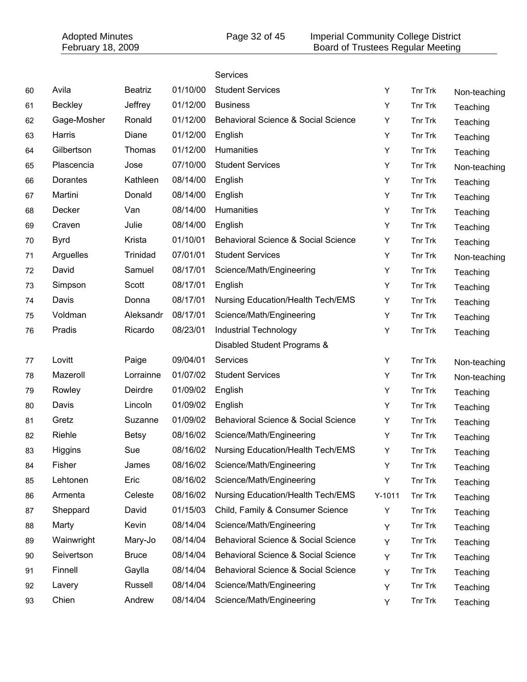|    | <b>Adopted Minutes</b><br>February 18, 2009 |                |          | <b>Imperial Community College District</b><br>Page 32 of 45<br>Board of Trustees Regular Meeting |  |          |         |              |  |
|----|---------------------------------------------|----------------|----------|--------------------------------------------------------------------------------------------------|--|----------|---------|--------------|--|
|    |                                             |                |          | Services                                                                                         |  |          |         |              |  |
| 60 | Avila                                       | <b>Beatriz</b> | 01/10/00 | <b>Student Services</b>                                                                          |  | Υ        | Tnr Trk | Non-teaching |  |
| 61 | <b>Beckley</b>                              | Jeffrey        | 01/12/00 | <b>Business</b>                                                                                  |  | Υ        | Tnr Trk | Teaching     |  |
| 62 | Gage-Mosher                                 | Ronald         | 01/12/00 | Behavioral Science & Social Science                                                              |  | Y        | Tnr Trk | Teaching     |  |
| 63 | Harris                                      | Diane          | 01/12/00 | English                                                                                          |  | Υ        | Tnr Trk | Teaching     |  |
| 64 | Gilbertson                                  | Thomas         | 01/12/00 | Humanities                                                                                       |  | Υ        | Tnr Trk | Teaching     |  |
| 65 | Plascencia                                  | Jose           | 07/10/00 | <b>Student Services</b>                                                                          |  | Υ        | Tnr Trk | Non-teaching |  |
| 66 | Dorantes                                    | Kathleen       | 08/14/00 | English                                                                                          |  | Υ        | Tnr Trk | Teaching     |  |
| 67 | Martini                                     | Donald         | 08/14/00 | English                                                                                          |  | Υ        | Tnr Trk | Teaching     |  |
| 68 | Decker                                      | Van            | 08/14/00 | Humanities                                                                                       |  | Υ        | Tnr Trk | Teaching     |  |
| 69 | Craven                                      | Julie          | 08/14/00 | English                                                                                          |  | Υ        | Tnr Trk | Teaching     |  |
| 70 | <b>Byrd</b>                                 | Krista         | 01/10/01 | Behavioral Science & Social Science                                                              |  | Υ        | Tnr Trk | Teaching     |  |
| 71 | Arguelles                                   | Trinidad       | 07/01/01 | <b>Student Services</b>                                                                          |  | Y        | Tnr Trk | Non-teaching |  |
| 72 | David                                       | Samuel         | 08/17/01 | Science/Math/Engineering                                                                         |  | Υ        | Tnr Trk | Teaching     |  |
| 73 | Simpson                                     | Scott          | 08/17/01 | English                                                                                          |  | Υ        | Tnr Trk | Teaching     |  |
| 74 | Davis                                       | Donna          | 08/17/01 | <b>Nursing Education/Health Tech/EMS</b>                                                         |  | Υ        | Tnr Trk | Teaching     |  |
| 75 | Voldman                                     | Aleksandr      | 08/17/01 | Science/Math/Engineering                                                                         |  | Υ        | Tnr Trk | Teaching     |  |
| 76 | Pradis                                      | Ricardo        | 08/23/01 | Industrial Technology                                                                            |  | Υ        | Tnr Trk | Teaching     |  |
|    |                                             |                |          | Disabled Student Programs &                                                                      |  |          |         |              |  |
| 77 | Lovitt                                      | Paige          | 09/04/01 | Services                                                                                         |  | Υ        | Tnr Trk | Non-teaching |  |
| 78 | Mazeroll                                    | Lorrainne      | 01/07/02 | <b>Student Services</b>                                                                          |  | Υ        | Tnr Trk | Non-teaching |  |
| 79 | Rowley                                      | Deirdre        | 01/09/02 | English                                                                                          |  | Υ        | Tnr Trk | Teaching     |  |
| 80 | Davis                                       | Lincoln        | 01/09/02 | English                                                                                          |  | Υ        | Tnr Trk | Teaching     |  |
| 81 | Gretz                                       | Suzanne        | 01/09/02 | Behavioral Science & Social Science                                                              |  | Y        | Tnr Trk | Teaching     |  |
| 82 | Riehle                                      | <b>Betsy</b>   | 08/16/02 | Science/Math/Engineering                                                                         |  | Υ        | Tnr Trk | Teaching     |  |
| 83 | Higgins                                     | Sue            | 08/16/02 | <b>Nursing Education/Health Tech/EMS</b>                                                         |  | Υ        | Tnr Trk | Teaching     |  |
| 84 | Fisher                                      | James          | 08/16/02 | Science/Math/Engineering                                                                         |  | Υ        | Tnr Trk | Teaching     |  |
| 85 | Lehtonen                                    | Eric           | 08/16/02 | Science/Math/Engineering                                                                         |  | Υ        | Tnr Trk | Teaching     |  |
| 86 | Armenta                                     | Celeste        | 08/16/02 | Nursing Education/Health Tech/EMS                                                                |  | $Y-1011$ | Tnr Trk | Teaching     |  |
| 87 | Sheppard                                    | David          | 01/15/03 | Child, Family & Consumer Science                                                                 |  | Υ        | Tnr Trk | Teaching     |  |
| 88 | Marty                                       | Kevin          | 08/14/04 | Science/Math/Engineering                                                                         |  | Υ        | Tnr Trk | Teaching     |  |
| 89 | Wainwright                                  | Mary-Jo        | 08/14/04 | Behavioral Science & Social Science                                                              |  | Y        | Tnr Trk | Teaching     |  |
| 90 | Seivertson                                  | <b>Bruce</b>   | 08/14/04 | Behavioral Science & Social Science                                                              |  | Y        | Tnr Trk | Teaching     |  |
| 91 | Finnell                                     | Gaylla         | 08/14/04 | Behavioral Science & Social Science                                                              |  | Υ        | Tnr Trk | Teaching     |  |
| 92 | Lavery                                      | Russell        | 08/14/04 | Science/Math/Engineering                                                                         |  | Υ        | Tnr Trk | Teaching     |  |
| 93 | Chien                                       | Andrew         | 08/14/04 | Science/Math/Engineering                                                                         |  | Y        | Tnr Trk | Teaching     |  |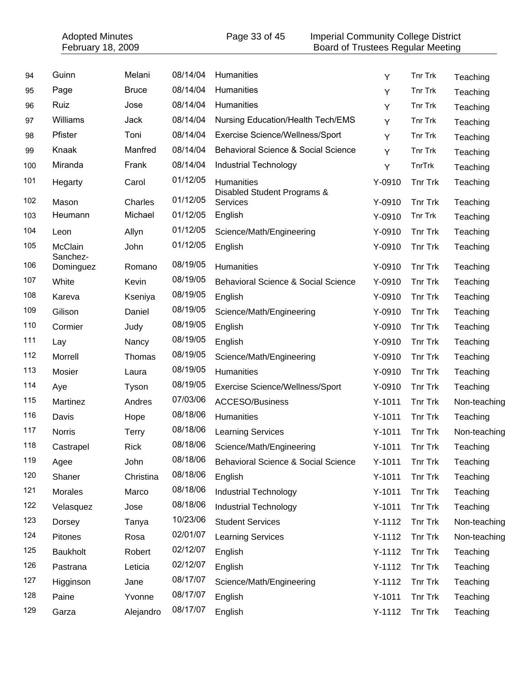| <b>Adopted Minutes</b><br>February 18, 2009 |                     |              |          | Page 33 of 45<br><b>Imperial Community College District</b><br><b>Board of Trustees Regular Meeting</b> |            |                |              |
|---------------------------------------------|---------------------|--------------|----------|---------------------------------------------------------------------------------------------------------|------------|----------------|--------------|
|                                             |                     |              |          |                                                                                                         |            |                |              |
| 94                                          | Guinn               | Melani       | 08/14/04 | Humanities                                                                                              | Y          | Tnr Trk        | Teaching     |
| 95                                          | Page                | <b>Bruce</b> | 08/14/04 | Humanities                                                                                              | Υ          | Tnr Trk        | Teaching     |
| 96                                          | Ruiz                | Jose         | 08/14/04 | Humanities                                                                                              | Υ          | Tnr Trk        | Teaching     |
| 97                                          | Williams            | Jack         | 08/14/04 | <b>Nursing Education/Health Tech/EMS</b>                                                                | Y          | Tnr Trk        | Teaching     |
| 98                                          | Pfister             | Toni         | 08/14/04 | Exercise Science/Wellness/Sport                                                                         | Y          | Tnr Trk        | Teaching     |
| 99                                          | Knaak               | Manfred      | 08/14/04 | Behavioral Science & Social Science                                                                     | Y          | Tnr Trk        | Teaching     |
| 100                                         | Miranda             | Frank        | 08/14/04 | <b>Industrial Technology</b>                                                                            | Υ          | TnrTrk         | Teaching     |
| 101                                         | Hegarty             | Carol        | 01/12/05 | Humanities<br>Disabled Student Programs &                                                               | Y-0910     | Tnr Trk        | Teaching     |
| 102                                         | Mason               | Charles      | 01/12/05 | Services                                                                                                | Y-0910     | Tnr Trk        | Teaching     |
| 103                                         | Heumann             | Michael      | 01/12/05 | English                                                                                                 | Y-0910     | Tnr Trk        | Teaching     |
| 104                                         | Leon                | Allyn        | 01/12/05 | Science/Math/Engineering                                                                                | Y-0910     | Tnr Trk        | Teaching     |
| 105                                         | McClain<br>Sanchez- | John         | 01/12/05 | English                                                                                                 | Y-0910     | Tnr Trk        | Teaching     |
| 106                                         | Dominguez           | Romano       | 08/19/05 | Humanities                                                                                              | Y-0910     | Tnr Trk        | Teaching     |
| 107                                         | White               | Kevin        | 08/19/05 | Behavioral Science & Social Science                                                                     | Y-0910     | <b>Tnr Trk</b> | Teaching     |
| 108                                         | Kareva              | Kseniya      | 08/19/05 | English                                                                                                 | Y-0910     | <b>Tnr Trk</b> | Teaching     |
| 109                                         | Gilison             | Daniel       | 08/19/05 | Science/Math/Engineering                                                                                | Y-0910     | Tnr Trk        | Teaching     |
| 110                                         | Cormier             | Judy         | 08/19/05 | English                                                                                                 | Y-0910     | Tnr Trk        | Teaching     |
| 111                                         | Lay                 | Nancy        | 08/19/05 | English                                                                                                 | Y-0910     | Tnr Trk        | Teaching     |
| 112                                         | Morrell             | Thomas       | 08/19/05 | Science/Math/Engineering                                                                                | Y-0910     | <b>Tnr Trk</b> | Teaching     |
| 113                                         | Mosier              | Laura        | 08/19/05 | Humanities                                                                                              | $Y-0910$   | <b>Tnr Trk</b> | Teaching     |
| 114                                         | Aye                 | Tyson        | 08/19/05 | Exercise Science/Wellness/Sport                                                                         | Y-0910     | <b>Tnr Trk</b> | Teaching     |
| 115                                         | Martinez            | Andres       | 07/03/06 | <b>ACCESO/Business</b>                                                                                  | $Y-1011$   | <b>Tnr Trk</b> | Non-teaching |
| 116                                         | Davis               | Hope         | 08/18/06 | Humanities                                                                                              | $Y - 1011$ | Tnr Trk        | Teaching     |
| 117                                         | <b>Norris</b>       | Terry        | 08/18/06 | <b>Learning Services</b>                                                                                | $Y-1011$   | Tnr Trk        | Non-teaching |
| 118                                         | Castrapel           | <b>Rick</b>  | 08/18/06 | Science/Math/Engineering                                                                                | $Y-1011$   | Tnr Trk        | Teaching     |
| 119                                         | Agee                | John         | 08/18/06 | <b>Behavioral Science &amp; Social Science</b>                                                          | $Y-1011$   | Tnr Trk        | Teaching     |
| 120                                         | Shaner              | Christina    | 08/18/06 | English                                                                                                 | $Y-1011$   | Tnr Trk        | Teaching     |
| 121                                         | Morales             | Marco        | 08/18/06 | <b>Industrial Technology</b>                                                                            | $Y-1011$   | <b>Tnr Trk</b> | Teaching     |
| 122                                         | Velasquez           | Jose         | 08/18/06 | <b>Industrial Technology</b>                                                                            | $Y-1011$   | Tnr Trk        | Teaching     |
| 123                                         | Dorsey              | Tanya        | 10/23/06 | <b>Student Services</b>                                                                                 | $Y-1112$   | Tnr Trk        | Non-teaching |
| 124                                         | Pitones             | Rosa         | 02/01/07 | <b>Learning Services</b>                                                                                | $Y-1112$   | Tnr Trk        | Non-teaching |
| 125                                         | <b>Baukholt</b>     | Robert       | 02/12/07 | English                                                                                                 | $Y-1112$   | Tnr Trk        | Teaching     |
| 126                                         | Pastrana            | Leticia      | 02/12/07 | English                                                                                                 | $Y-1112$   | Tnr Trk        | Teaching     |
| 127                                         | Higginson           | Jane         | 08/17/07 | Science/Math/Engineering                                                                                | $Y-1112$   | Tnr Trk        | Teaching     |
| 128                                         | Paine               | Yvonne       | 08/17/07 | English                                                                                                 | $Y-1011$   | Tnr Trk        | Teaching     |
| 129                                         | Garza               | Alejandro    | 08/17/07 | English                                                                                                 | $Y-1112$   | Tnr Trk        | Teaching     |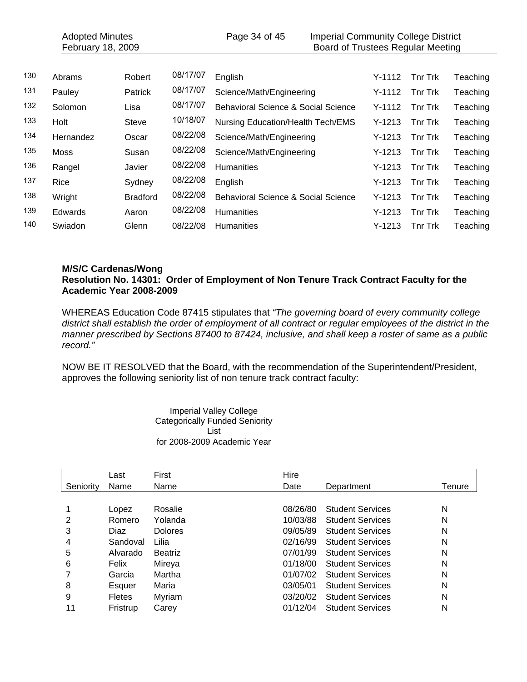|     | <b>Adopted Minutes</b><br>February 18, 2009 |                 |          | Page 34 of 45                            |          | <b>Imperial Community College District</b><br>Board of Trustees Regular Meeting |          |
|-----|---------------------------------------------|-----------------|----------|------------------------------------------|----------|---------------------------------------------------------------------------------|----------|
|     |                                             |                 |          |                                          |          |                                                                                 |          |
| 130 | Abrams                                      | Robert          | 08/17/07 | English                                  | $Y-1112$ | <b>Tnr Trk</b>                                                                  | Teaching |
| 131 | Pauley                                      | <b>Patrick</b>  | 08/17/07 | Science/Math/Engineering                 | $Y-1112$ | <b>Thr Trk</b>                                                                  | Teaching |
| 132 | Solomon                                     | Lisa            | 08/17/07 | Behavioral Science & Social Science      | $Y-1112$ | <b>Tnr Trk</b>                                                                  | Teaching |
| 133 | Holt                                        | Steve           | 10/18/07 | <b>Nursing Education/Health Tech/EMS</b> | $Y-1213$ | <b>Tnr Trk</b>                                                                  | Teaching |
| 134 | Hernandez                                   | Oscar           | 08/22/08 | Science/Math/Engineering                 | $Y-1213$ | <b>Tnr Trk</b>                                                                  | Teaching |
| 135 | <b>Moss</b>                                 | Susan           | 08/22/08 | Science/Math/Engineering                 | $Y-1213$ | <b>Thr Trk</b>                                                                  | Teaching |
| 136 | Rangel                                      | Javier          | 08/22/08 | <b>Humanities</b>                        | $Y-1213$ | <b>Tnr Trk</b>                                                                  | Teaching |
| 137 | Rice                                        | Sydney          | 08/22/08 | English                                  | $Y-1213$ | <b>Tnr Trk</b>                                                                  | Teaching |
| 138 | Wright                                      | <b>Bradford</b> | 08/22/08 | Behavioral Science & Social Science      | $Y-1213$ | <b>Tnr Trk</b>                                                                  | Teaching |
| 139 | Edwards                                     | Aaron           | 08/22/08 | <b>Humanities</b>                        | $Y-1213$ | <b>Tnr Trk</b>                                                                  | Teaching |
| 140 | Swiadon                                     | Glenn           | 08/22/08 | <b>Humanities</b>                        | $Y-1213$ | <b>Thr Trk</b>                                                                  | Teaching |

#### **M/S/C Cardenas/Wong Resolution No. 14301: Order of Employment of Non Tenure Track Contract Faculty for the Academic Year 2008-2009**

WHEREAS Education Code 87415 stipulates that *"The governing board of every community college district shall establish the order of employment of all contract or regular employees of the district in the manner prescribed by Sections 87400 to 87424, inclusive, and shall keep a roster of same as a public record."* 

NOW BE IT RESOLVED that the Board, with the recommendation of the Superintendent/President, approves the following seniority list of non tenure track contract faculty:

> Imperial Valley College Categorically Funded Seniority List for 2008-2009 Academic Year

|           | Last          | First          | Hire     |                         |        |
|-----------|---------------|----------------|----------|-------------------------|--------|
| Seniority | Name          | Name           | Date     | Department              | Tenure |
|           |               |                |          |                         |        |
|           | Lopez         | Rosalie        | 08/26/80 | <b>Student Services</b> | N      |
| 2         | Romero        | Yolanda        | 10/03/88 | <b>Student Services</b> | N      |
| 3         | Diaz          | <b>Dolores</b> | 09/05/89 | <b>Student Services</b> | N      |
| 4         | Sandoval      | Lilia          | 02/16/99 | <b>Student Services</b> | N      |
| 5         | Alvarado      | <b>Beatriz</b> | 07/01/99 | <b>Student Services</b> | N      |
| 6         | Felix         | Mireya         | 01/18/00 | <b>Student Services</b> | N      |
|           | Garcia        | Martha         | 01/07/02 | <b>Student Services</b> | N      |
| 8         | Esquer        | Maria          | 03/05/01 | <b>Student Services</b> | N      |
| 9         | <b>Fletes</b> | Myriam         | 03/20/02 | <b>Student Services</b> | N      |
| 11        | Fristrup      | Carey          | 01/12/04 | <b>Student Services</b> | N      |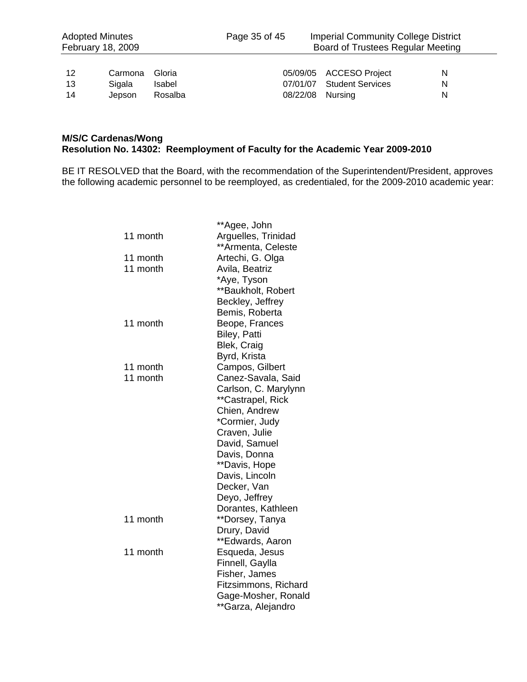| 12 | Carmona Gloria |         |
|----|----------------|---------|
| 13 | Sigala         | Isabel  |
| 14 | Jepson         | Rosalba |

| 12 | Carmona Gloria |        |                  | 05/09/05 ACCESO Project   | N. |
|----|----------------|--------|------------------|---------------------------|----|
| 13 | Sigala         | Isabel |                  | 07/01/07 Student Services | N. |
| 14 | Jepson Rosalba |        | 08/22/08 Nursing |                           | N. |

#### **M/S/C Cardenas/Wong Resolution No. 14302: Reemployment of Faculty for the Academic Year 2009-2010**

BE IT RESOLVED that the Board, with the recommendation of the Superintendent/President, approves the following academic personnel to be reemployed, as credentialed, for the 2009-2010 academic year:

|          | **Agee, John         |
|----------|----------------------|
| 11 month | Arguelles, Trinidad  |
|          | **Armenta, Celeste   |
| 11 month | Artechi, G. Olga     |
| 11 month | Avila, Beatriz       |
|          | *Aye, Tyson          |
|          | **Baukholt, Robert   |
|          | Beckley, Jeffrey     |
|          | Bemis, Roberta       |
| 11 month | Beope, Frances       |
|          | Biley, Patti         |
|          | Blek, Craig          |
|          | Byrd, Krista         |
| 11 month | Campos, Gilbert      |
| 11 month | Canez-Savala, Said   |
|          | Carlson, C. Marylynn |
|          | **Castrapel, Rick    |
|          | Chien, Andrew        |
|          | *Cormier, Judy       |
|          | Craven, Julie        |
|          | David, Samuel        |
|          | Davis, Donna         |
|          | **Davis, Hope        |
|          | Davis, Lincoln       |
|          | Decker, Van          |
|          | Deyo, Jeffrey        |
|          | Dorantes, Kathleen   |
| 11 month | **Dorsey, Tanya      |
|          | Drury, David         |
|          | **Edwards, Aaron     |
| 11 month | Esqueda, Jesus       |
|          | Finnell, Gaylla      |
|          | Fisher, James        |
|          | Fitzsimmons, Richard |
|          | Gage-Mosher, Ronald  |
|          | **Garza, Alejandro   |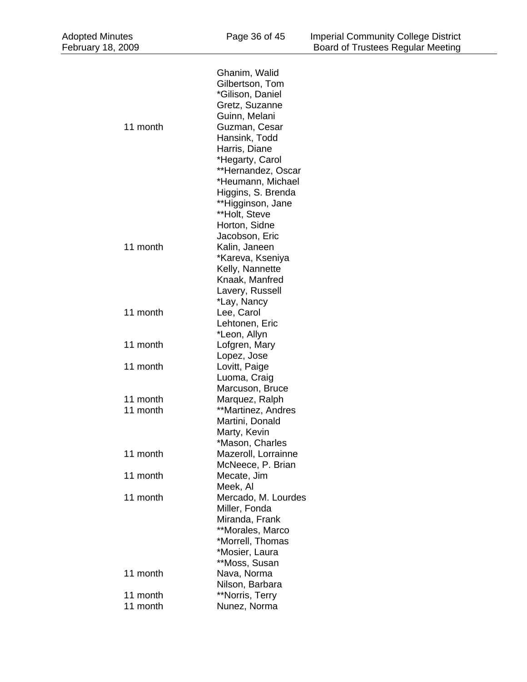| <b>Adopted Minutes</b><br>February 18, 2009 | Page 36 of 45                                                                                                                                                                                                                  | <b>Imperial Community College District</b><br><b>Board of Trustees Regular Meeting</b> |  |
|---------------------------------------------|--------------------------------------------------------------------------------------------------------------------------------------------------------------------------------------------------------------------------------|----------------------------------------------------------------------------------------|--|
|                                             |                                                                                                                                                                                                                                |                                                                                        |  |
| 11 month                                    | Ghanim, Walid<br>Gilbertson, Tom<br>*Gilison, Daniel<br>Gretz, Suzanne<br>Guinn, Melani<br>Guzman, Cesar<br>Hansink, Todd<br>Harris, Diane<br>*Hegarty, Carol<br>**Hernandez, Oscar<br>*Heumann, Michael<br>Higgins, S. Brenda |                                                                                        |  |
| 11 month                                    | **Higginson, Jane<br>**Holt, Steve<br>Horton, Sidne<br>Jacobson, Eric<br>Kalin, Janeen<br>*Kareva, Kseniya<br>Kelly, Nannette<br>Knaak, Manfred<br>Lavery, Russell                                                             |                                                                                        |  |
| 11 month                                    | *Lay, Nancy<br>Lee, Carol<br>Lehtonen, Eric                                                                                                                                                                                    |                                                                                        |  |
| 11 month                                    | *Leon, Allyn<br>Lofgren, Mary<br>Lopez, Jose                                                                                                                                                                                   |                                                                                        |  |
| 11 month                                    | Lovitt, Paige<br>Luoma, Craig<br>Marcuson, Bruce                                                                                                                                                                               |                                                                                        |  |
| 11 month                                    | Marquez, Ralph                                                                                                                                                                                                                 |                                                                                        |  |
| 11 month                                    | **Martinez, Andres<br>Martini, Donald<br>Marty, Kevin<br>*Mason, Charles                                                                                                                                                       |                                                                                        |  |
| 11 month                                    | Mazeroll, Lorrainne<br>McNeece, P. Brian                                                                                                                                                                                       |                                                                                        |  |
| 11 month                                    | Mecate, Jim<br>Meek, Al                                                                                                                                                                                                        |                                                                                        |  |
| 11 month                                    | Mercado, M. Lourdes<br>Miller, Fonda<br>Miranda, Frank<br>**Morales, Marco<br>*Morrell, Thomas<br>*Mosier, Laura<br>**Moss, Susan                                                                                              |                                                                                        |  |
| 11 month                                    | Nava, Norma<br>Nilson, Barbara                                                                                                                                                                                                 |                                                                                        |  |
| 11 month                                    | **Norris, Terry                                                                                                                                                                                                                |                                                                                        |  |
| 11 month                                    | Nunez, Norma                                                                                                                                                                                                                   |                                                                                        |  |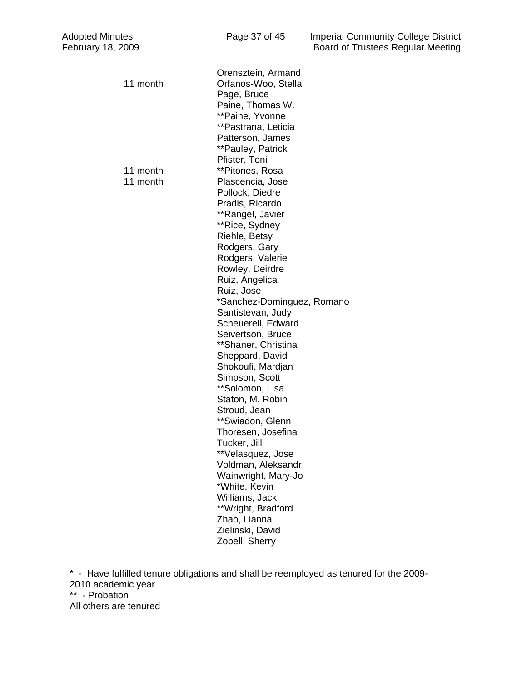| <b>Adopted Minutes</b><br>February 18, 2009 | Page 37 of 45                                                                                                                                                                                     | <b>Imperial Community College District</b><br>Board of Trustees Regular Meeting |
|---------------------------------------------|---------------------------------------------------------------------------------------------------------------------------------------------------------------------------------------------------|---------------------------------------------------------------------------------|
| 11 month                                    | Orensztein, Armand<br>Orfanos-Woo, Stella<br>Page, Bruce<br>Paine, Thomas W.                                                                                                                      |                                                                                 |
| 11 month<br>11 month                        | **Paine, Yvonne<br>**Pastrana, Leticia<br>Patterson, James<br>**Pauley, Patrick<br>Pfister, Toni<br>**Pitones, Rosa<br>Plascencia, Jose<br>Pollock, Diedre<br>Pradis, Ricardo<br>**Rangel, Javier |                                                                                 |
|                                             | **Rice, Sydney<br>Riehle, Betsy<br>Rodgers, Gary<br>Rodgers, Valerie<br>Rowley, Deirdre<br>Ruiz, Angelica<br>Ruiz, Jose<br>*Sanchez-Dominguez, Romano<br>Santistevan, Judy                        |                                                                                 |
|                                             | Scheuerell, Edward<br>Seivertson, Bruce<br>**Shaner, Christina<br>Sheppard, David<br>Shokoufi, Mardjan<br>Simpson, Scott<br>**Solomon, Lisa<br>Staton, M. Robin<br>Stroud, Jean                   |                                                                                 |
|                                             | **Swiadon, Glenn<br>Thoresen, Josefina<br>Tucker, Jill<br>**Velasquez, Jose<br>Voldman, Aleksandr<br>Wainwright, Mary-Jo<br>*White, Kevin<br>Williams, Jack<br>**Wright, Bradford                 |                                                                                 |
|                                             | Zhao, Lianna<br>Zielinski, David<br>Zobell, Sherry                                                                                                                                                |                                                                                 |

\* - Have fulfilled tenure obligations and shall be reemployed as tenured for the 2009- 2010 academic year \*\* - Probation All others are tenured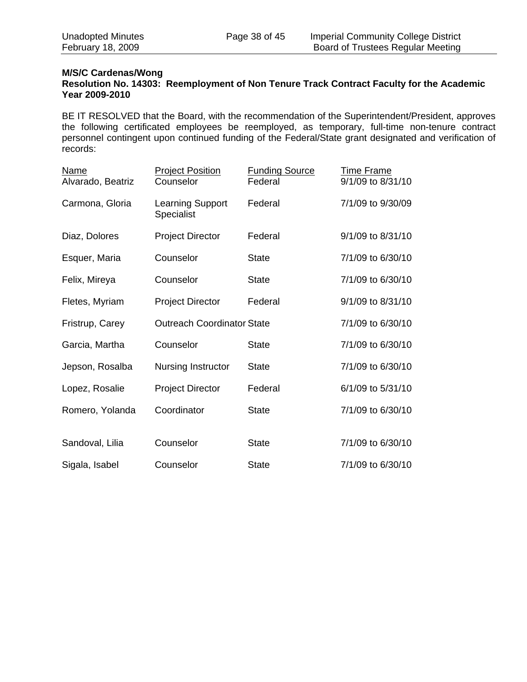## **M/S/C Cardenas/Wong**

#### **Resolution No. 14303: Reemployment of Non Tenure Track Contract Faculty for the Academic Year 2009-2010**

BE IT RESOLVED that the Board, with the recommendation of the Superintendent/President, approves the following certificated employees be reemployed, as temporary, full-time non-tenure contract personnel contingent upon continued funding of the Federal/State grant designated and verification of records:

| <b>Name</b><br>Alvarado, Beatriz | <b>Project Position</b><br>Counselor  | <b>Funding Source</b><br>Federal | <b>Time Frame</b><br>9/1/09 to 8/31/10 |
|----------------------------------|---------------------------------------|----------------------------------|----------------------------------------|
| Carmona, Gloria                  | <b>Learning Support</b><br>Specialist | Federal                          | 7/1/09 to 9/30/09                      |
| Diaz, Dolores                    | <b>Project Director</b>               | Federal                          | 9/1/09 to 8/31/10                      |
| Esquer, Maria                    | Counselor                             | <b>State</b>                     | 7/1/09 to 6/30/10                      |
| Felix, Mireya                    | Counselor                             | <b>State</b>                     | 7/1/09 to 6/30/10                      |
| Fletes, Myriam                   | <b>Project Director</b>               | Federal                          | 9/1/09 to 8/31/10                      |
| Fristrup, Carey                  | <b>Outreach Coordinator State</b>     |                                  | 7/1/09 to 6/30/10                      |
| Garcia, Martha                   | Counselor                             | <b>State</b>                     | 7/1/09 to 6/30/10                      |
| Jepson, Rosalba                  | Nursing Instructor                    | <b>State</b>                     | 7/1/09 to 6/30/10                      |
| Lopez, Rosalie                   | <b>Project Director</b>               | Federal                          | 6/1/09 to 5/31/10                      |
| Romero, Yolanda                  | Coordinator                           | <b>State</b>                     | 7/1/09 to 6/30/10                      |
|                                  |                                       |                                  |                                        |
| Sandoval, Lilia                  | Counselor                             | <b>State</b>                     | 7/1/09 to 6/30/10                      |
| Sigala, Isabel                   | Counselor                             | <b>State</b>                     | 7/1/09 to 6/30/10                      |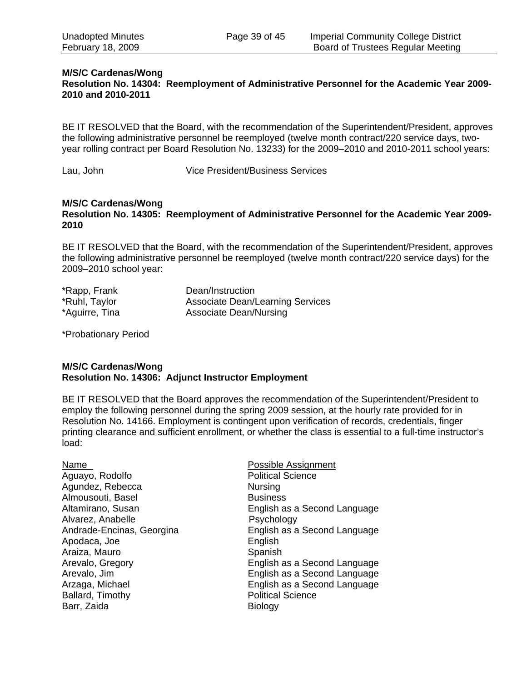#### **M/S/C Cardenas/Wong Resolution No. 14304: Reemployment of Administrative Personnel for the Academic Year 2009- 2010 and 2010-2011**

BE IT RESOLVED that the Board, with the recommendation of the Superintendent/President, approves the following administrative personnel be reemployed (twelve month contract/220 service days, twoyear rolling contract per Board Resolution No. 13233) for the 2009–2010 and 2010-2011 school years:

Lau, John Vice President/Business Services

#### **M/S/C Cardenas/Wong**

**Resolution No. 14305: Reemployment of Administrative Personnel for the Academic Year 2009- 2010** 

BE IT RESOLVED that the Board, with the recommendation of the Superintendent/President, approves the following administrative personnel be reemployed (twelve month contract/220 service days) for the 2009–2010 school year:

| *Rapp, Frank   | Dean/Instruction                        |
|----------------|-----------------------------------------|
| *Ruhl, Taylor  | <b>Associate Dean/Learning Services</b> |
| *Aguirre, Tina | Associate Dean/Nursing                  |

\*Probationary Period

#### **M/S/C Cardenas/Wong Resolution No. 14306: Adjunct Instructor Employment**

BE IT RESOLVED that the Board approves the recommendation of the Superintendent/President to employ the following personnel during the spring 2009 session, at the hourly rate provided for in Resolution No. 14166. Employment is contingent upon verification of records, credentials, finger printing clearance and sufficient enrollment, or whether the class is essential to a full-time instructor's load:

| Name                      | Possible Assignment          |
|---------------------------|------------------------------|
| Aguayo, Rodolfo           | <b>Political Science</b>     |
| Agundez, Rebecca          | <b>Nursing</b>               |
| Almousouti, Basel         | <b>Business</b>              |
| Altamirano, Susan         | English as a Second Language |
| Alvarez, Anabelle         | Psychology                   |
| Andrade-Encinas, Georgina | English as a Second Language |
| Apodaca, Joe              | English                      |
| Araiza, Mauro             | Spanish                      |
| Arevalo, Gregory          | English as a Second Language |
| Arevalo, Jim              | English as a Second Language |
| Arzaga, Michael           | English as a Second Language |
| Ballard, Timothy          | <b>Political Science</b>     |
| Barr, Zaida               | <b>Biology</b>               |
|                           |                              |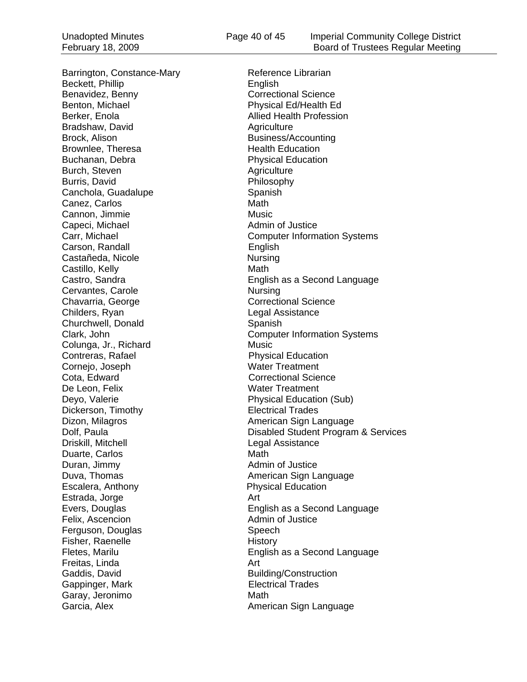Barrington, Constance-Mary Reference Librarian Beckett, Phillip **English** Benavidez, Benny Correctional Science Benton, Michael **Physical Ed/Health Edge** Berker, Enola **Berker, Enola** Allied Health Profession Bradshaw, David Agriculture Brock, Alison Business/Accounting Brownlee, Theresa **Health Education** Buchanan, Debra **Physical Education** Burch, Steven Agriculture Burris, David **Philosophy** Canchola, Guadalupe Spanish Canez, Carlos **Math** Cannon, Jimmie Music Capeci, Michael **Admin of Justice** Admin of Justice Carson, Randall **English** Castañeda, Nicole **Nursing** Castillo, Kelly **Math** Cervantes, Carole **Nursing** Chavarria, George Chavarria, George Correctional Science Childers, Ryan **Legal Assistance** Churchwell, Donald Spanish Colunga, Jr., Richard Music **Contreras, Rafael Contreras, Rafael Physical Education** Cornejo, Joseph Water Treatment **Cota, Edward Correctional Science** De Leon, Felix Water Treatment Deyo, Valerie **Physical Education (Sub)** Dickerson, Timothy **Electrical Trades** Dizon, Milagros **American Sign Language Driskill, Mitchell Legal Assistance** Duarte, Carlos **Math** Duran, Jimmy **Admin of Justice** Duva, Thomas **American** Sign Language **Contract Contract Contract Contract Contract Contract Contract Contract Contract Contract Contract Contract Contract Contract Contract Contract Contract Contract Contract Contract Con** Escalera, Anthony **Physical Education** Estrada, Jorge **Art** Felix, Ascencion **Admin of Justice** Ferguson, Douglas Speech Fisher, Raenelle **History** Freitas, Linda Art Gaddis, David **Building/Construction** Gappinger, Mark **Electrical Trades** Garay, Jeronimo Math

Carr, Michael Computer Information Systems Castro, Sandra **English as a Second Language** Clark, John Computer Information Systems Dolf, Paula Disabled Student Program & Services Evers, Douglas English as a Second Language Fletes, Marilu **English as a Second Language** Garcia, Alex **American Sign Language**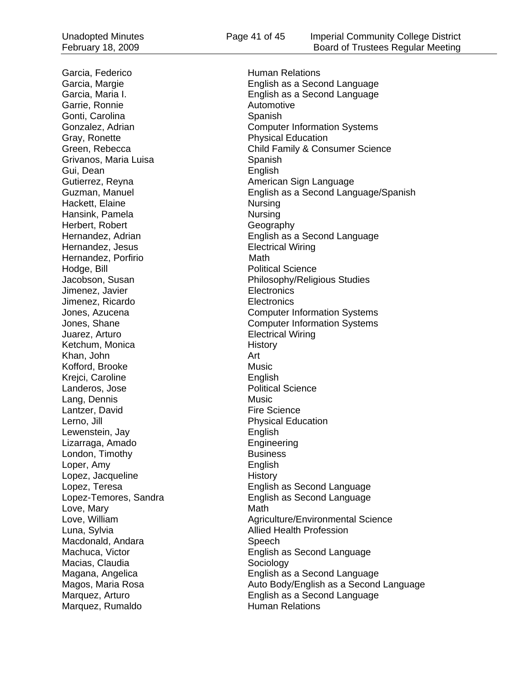Garrie, Ronnie **Automotive** Gonti, Carolina Spanish Gray, Ronette **Physical Education** Grivanos, Maria Luisa **Spanish** Spanish Gui, Dean English<br>Gutierrez, Reyna English America Hackett, Elaine Nursing Hansink, Pamela Nursing Herbert, Robert Geography Hernandez, Jesus **Electrical Wiring** Hernandez, Porfirio **Math** Hodge, Bill **Political Science** Jimenez, Javier **Electronics** Jimenez, Ricardo Electronics Juarez, Arturo Electrical Wiring Ketchum, Monica History Khan, John Art Kofford, Brooke Music Krejci, Caroline English Landeros, Jose **Political** Science Lang, Dennis Music Lantzer, David **Fire Science** Lerno, Jill **Lerno, All Accepts** 2014 **Physical Education** Lewenstein, Jay **English** Lizarraga, Amado **Engineering** London, Timothy **Business** Loper, Amy **English** Lopez, Jacqueline **History** Love, Mary **Math** Luna, Sylvia **Allied Health Profession** Macdonald, Andara Speech Macias, Claudia Sociology

Garcia, Federico **Human Relations** Garcia, Margie English as a Second Language Garcia, Maria I. English as a Second Language Gonzalez, Adrian Computer Information Systems Green, Rebecca **Child Family & Consumer Science** American Sign Language Guzman, Manuel English as a Second Language/Spanish Hernandez, Adrian **English as a Second Language** Jacobson, Susan **Philosophy/Religious Studies** Jones, Azucena Computer Information Systems Jones, Shane **Computer Information Systems** Lopez, Teresa<br>
Lopez-Temores, Sandra<br>
English as Second Language English as Second Language Love, William **Agriculture/Environmental Science** Machuca, Victor **English as Second Language** Magana, Angelica **English** as a Second Language Magos, Maria Rosa **Auto Body/English as a Second Language** Marquez, Arturo English as a Second Language Marquez, Rumaldo Human Relations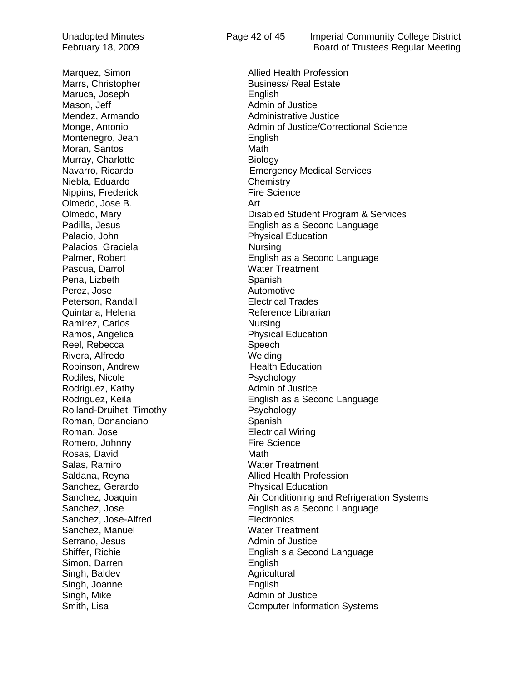Marrs, Christopher **Business** Real Estate Maruca, Joseph English Mason, Jeff **Admin of Justice Admin of Justice** Mendez, Armando **Administrative Justice** Montenegro, Jean **English** Moran, Santos **Math** Murray, Charlotte **Biology** Niebla, Eduardo **Chemistry**<br>
Nippins, Frederick **Chemistry**<br>
Fire Science Nippins, Frederick Olmedo, Jose B. Art Palacio, John Physical Education Palacios, Graciela Nursing Pascua, Darrol Water Treatment Pena, Lizbeth Spanish Perez, Jose **Automotive** Peterson, Randall **Electrical Trades** Quintana, Helena Reference Librarian Ramirez, Carlos Nursing Ramos, Angelica **Physical Education** Reel, Rebecca Speech Rivera, Alfredo Welding Robinson, Andrew **Health Education** Rodiles, Nicole **Psychology** Rodriguez, Kathy **Admin of Justice** Rodriguez, Kathy Rolland-Druihet, Timothy Psychology Roman, Donanciano **Spanish Spanish Roman, Jose** Spanish Spanish Spanish Spanish Spanish Spanish Spanish Spanish Spanish Spanish Spanish Spanish Spanish Spanish Spanish Spanish Spanish Spanish Spanish Spanish Spanish Spanis Romero, Johnny **Fire Science** Rosas, David Math Salas, Ramiro **Water Treatment** Sanchez, Gerardo **Physical Education** Sanchez, Jose-Alfred Electronics Sanchez, Manuel Water Treatment Serrano, Jesus **Admin of Justice** Simon, Darren **English** Singh, Baldev **Agricultural** Singh, Joanne English Singh, Mike Admin of Justice

Marquez, Simon **Allied Health Profession** Monge, Antonio **Admin of Justice/Correctional Science** Navarro, Ricardo Emergency Medical Services Olmedo, Mary Disabled Student Program & Services Padilla, Jesus **English as a Second Language** Palmer, Robert **English as a Second Language** Rodriguez, Keila **English as a Second Language Electrical Wiring** Saldana, Reyna **Allied Health Profession** Sanchez, Joaquin **Air Conditioning and Refrigeration Systems** Sanchez, Jose **English as a Second Language** Shiffer, Richie English s a Second Language Smith, Lisa **Computer Information Systems**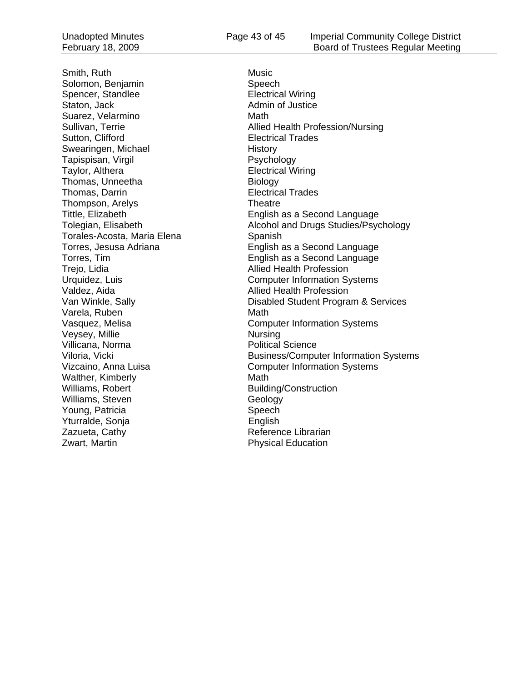Smith, Ruth Music Number of the Music Number of the Music Number of the Music Number of the Music Number of the Music Number of the Music Number of the Music Number of the Music Number of the Music Number of the Music Numb Solomon, Benjamin Speech Spencer, Standlee Electrical Wiring Staton, Jack **Admin of Justice** Admin of Justice Suarez, Velarmino Math Sutton, Clifford **Electrical Trades** Swearingen, Michael and History<br>Tapispisan, Virgil and History Psychology Tapispisan, Virgil Taylor, Althera **Electrical Wiring** Thomas, Unneetha Biology Thomas, Darrin **Electrical Trades** Thompson, Arelys Theatre Torales-Acosta, Maria Elena **Spanish** Trejo, Lidia **Allied Health Profession** Valdez, Aida **Allied Health Profession** Varela, Ruben Math Veysey, Millie Nursing Villicana, Norma **Political Science** Walther, Kimberly **Math** Williams, Robert **Building/Construction** Williams, Steven Geology Young, Patricia Speech Yturralde, Sonja **English** Zazueta, Cathy **Reference Librarian** 

Sullivan, Terrie **Allied Health Profession/Nursing** Tittle, Elizabeth English as a Second Language Tolegian, Elisabeth Alcohol and Drugs Studies/Psychology Torres, Jesusa Adriana English as a Second Language Torres, Tim English as a Second Language Urquidez, Luis **Computer Information Systems** Van Winkle, Sally Disabled Student Program & Services Vasquez, Melisa Computer Information Systems Viloria, Vicki **Business/Computer Information Systems** Vizcaino, Anna Luisa Computer Information Systems **Zwart, Martin Communist Communist Communist Physical Education**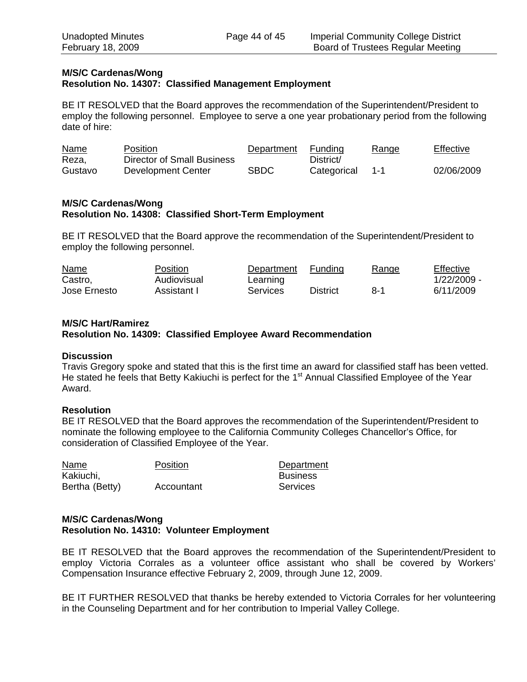### **M/S/C Cardenas/Wong Resolution No. 14307: Classified Management Employment**

BE IT RESOLVED that the Board approves the recommendation of the Superintendent/President to employ the following personnel. Employee to serve a one year probationary period from the following date of hire:

| Name    | Position                   | Department  | Funding     | Range | Effective  |
|---------|----------------------------|-------------|-------------|-------|------------|
| Reza,   | Director of Small Business |             | District/   |       |            |
| Gustavo | Development Center         | <b>SBDC</b> | Categorical |       | 02/06/2009 |

#### **M/S/C Cardenas/Wong Resolution No. 14308: Classified Short-Term Employment**

BE IT RESOLVED that the Board approve the recommendation of the Superintendent/President to employ the following personnel.

| Name         | Position    | Department | Funding  | Range | Effective   |
|--------------|-------------|------------|----------|-------|-------------|
| Castro,      | Audiovisual | Learning   |          |       | 1/22/2009 - |
| Jose Ernesto | Assistant I | Services   | District | 8-1   | 6/11/2009   |

### **M/S/C Hart/Ramirez**

**Resolution No. 14309: Classified Employee Award Recommendation** 

#### **Discussion**

Travis Gregory spoke and stated that this is the first time an award for classified staff has been vetted. He stated he feels that Betty Kakiuchi is perfect for the 1<sup>st</sup> Annual Classified Employee of the Year Award.

### **Resolution**

BE IT RESOLVED that the Board approves the recommendation of the Superintendent/President to nominate the following employee to the California Community Colleges Chancellor's Office, for consideration of Classified Employee of the Year.

| Name           | <b>Position</b> | Department      |
|----------------|-----------------|-----------------|
| Kakiuchi,      |                 | <b>Business</b> |
| Bertha (Betty) | Accountant      | Services        |

### **M/S/C Cardenas/Wong Resolution No. 14310: Volunteer Employment**

BE IT RESOLVED that the Board approves the recommendation of the Superintendent/President to employ Victoria Corrales as a volunteer office assistant who shall be covered by Workers' Compensation Insurance effective February 2, 2009, through June 12, 2009.

BE IT FURTHER RESOLVED that thanks be hereby extended to Victoria Corrales for her volunteering in the Counseling Department and for her contribution to Imperial Valley College.